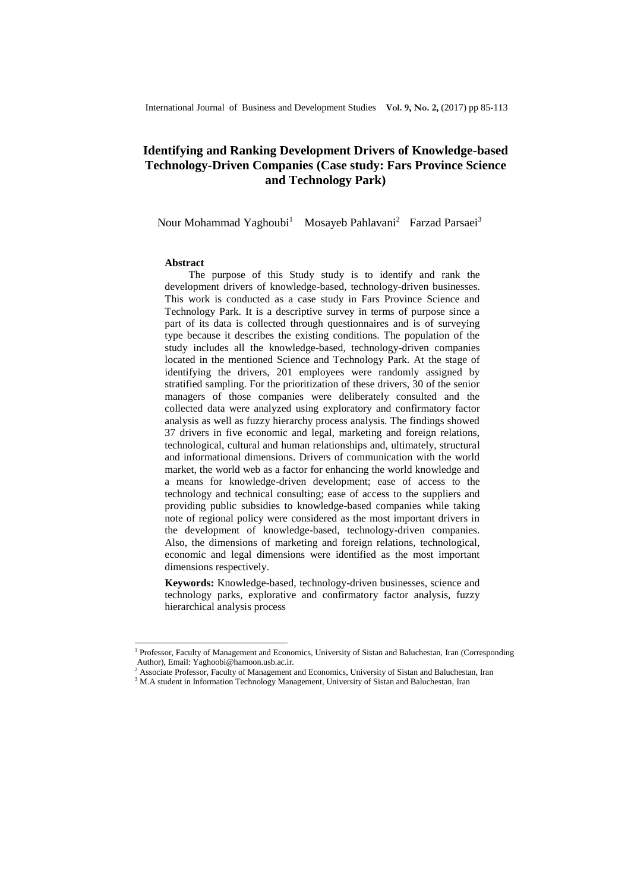# **Identifying and Ranking Development Drivers of Knowledge-based Technology-Driven Companies (Case study: Fars Province Science and Technology Park)**

Nour Mohammad Yaghoubi<sup>1</sup> Mosayeb Pahlavani<sup>2</sup> Farzad Parsaei<sup>3</sup>

#### **Abstract**

 $\overline{\phantom{a}}$ 

The purpose of this Study study is to identify and rank the development drivers of knowledge-based, technology-driven businesses. This work is conducted as a case study in Fars Province Science and Technology Park. It is a descriptive survey in terms of purpose since a part of its data is collected through questionnaires and is of surveying type because it describes the existing conditions. The population of the study includes all the knowledge-based, technology-driven companies located in the mentioned Science and Technology Park. At the stage of identifying the drivers, 201 employees were randomly assigned by stratified sampling. For the prioritization of these drivers, 30 of the senior managers of those companies were deliberately consulted and the collected data were analyzed using exploratory and confirmatory factor analysis as well as fuzzy hierarchy process analysis. The findings showed 37 drivers in five economic and legal, marketing and foreign relations, technological, cultural and human relationships and, ultimately, structural and informational dimensions. Drivers of communication with the world market, the world web as a factor for enhancing the world knowledge and a means for knowledge-driven development; ease of access to the technology and technical consulting; ease of access to the suppliers and providing public subsidies to knowledge-based companies while taking note of regional policy were considered as the most important drivers in the development of knowledge-based, technology-driven companies. Also, the dimensions of marketing and foreign relations, technological, economic and legal dimensions were identified as the most important dimensions respectively.

**Keywords:** Knowledge-based, technology-driven businesses, science and technology parks, explorative and confirmatory factor analysis, fuzzy hierarchical analysis process

<sup>&</sup>lt;sup>1</sup> Professor, Faculty of Management and Economics, University of Sistan and Baluchestan, Iran (Corresponding Author), Email: Yaghoobi@hamoon.usb.ac.ir.

<sup>2</sup> Associate Professor, Faculty of Management and Economics, University of Sistan and Baluchestan, Iran

<sup>&</sup>lt;sup>3</sup> M.A student in Information Technology Management, University of Sistan and Baluchestan, Iran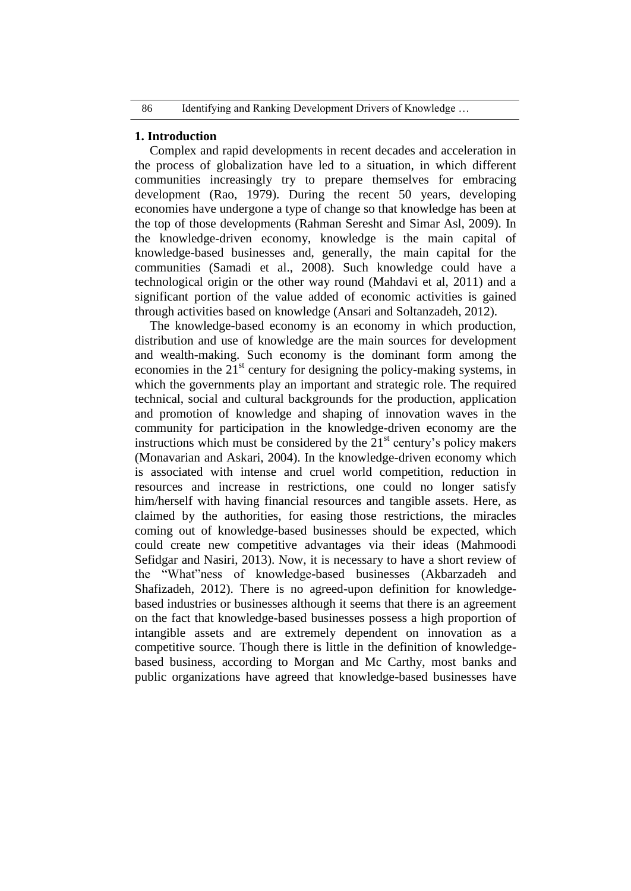## **1. Introduction**

Complex and rapid developments in recent decades and acceleration in the process of globalization have led to a situation, in which different communities increasingly try to prepare themselves for embracing development (Rao, 1979). During the recent 50 years, developing economies have undergone a type of change so that knowledge has been at the top of those developments (Rahman Seresht and Simar Asl, 2009). In the knowledge-driven economy, knowledge is the main capital of knowledge-based businesses and, generally, the main capital for the communities (Samadi et al., 2008). Such knowledge could have a technological origin or the other way round (Mahdavi et al, 2011) and a significant portion of the value added of economic activities is gained through activities based on knowledge (Ansari and Soltanzadeh, 2012).

The knowledge-based economy is an economy in which production, distribution and use of knowledge are the main sources for development and wealth-making. Such economy is the dominant form among the economies in the  $21<sup>st</sup>$  century for designing the policy-making systems, in which the governments play an important and strategic role. The required technical, social and cultural backgrounds for the production, application and promotion of knowledge and shaping of innovation waves in the community for participation in the knowledge-driven economy are the instructions which must be considered by the  $21<sup>st</sup>$  century's policy makers (Monavarian and Askari, 2004). In the knowledge-driven economy which is associated with intense and cruel world competition, reduction in resources and increase in restrictions, one could no longer satisfy him/herself with having financial resources and tangible assets. Here, as claimed by the authorities, for easing those restrictions, the miracles coming out of knowledge-based businesses should be expected, which could create new competitive advantages via their ideas (Mahmoodi Sefidgar and Nasiri, 2013). Now, it is necessary to have a short review of the "What"ness of knowledge-based businesses (Akbarzadeh and Shafizadeh, 2012). There is no agreed-upon definition for knowledgebased industries or businesses although it seems that there is an agreement on the fact that knowledge-based businesses possess a high proportion of intangible assets and are extremely dependent on innovation as a competitive source. Though there is little in the definition of knowledgebased business, according to Morgan and Mc Carthy, most banks and public organizations have agreed that knowledge-based businesses have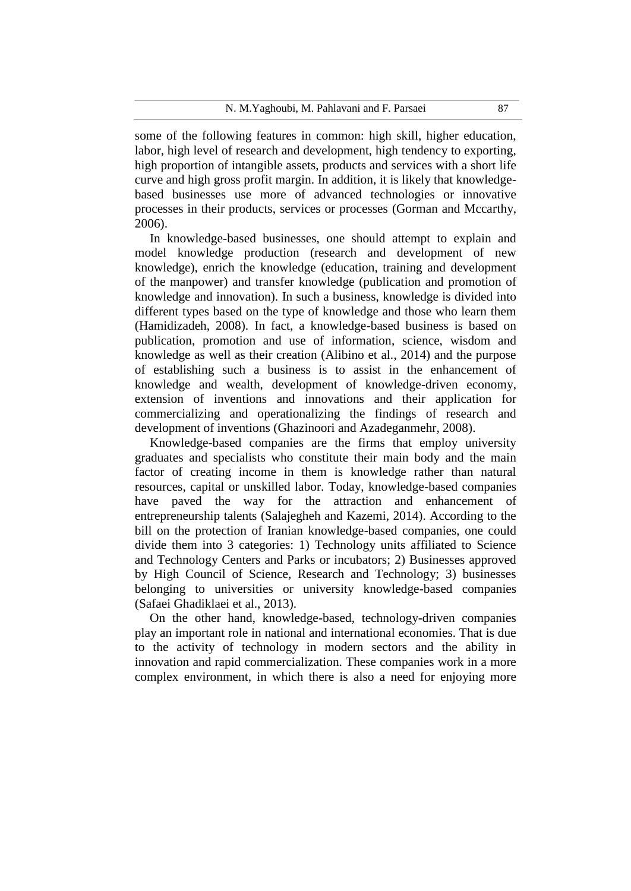some of the following features in common: high skill, higher education, labor, high level of research and development, high tendency to exporting, high proportion of intangible assets, products and services with a short life curve and high gross profit margin. In addition, it is likely that knowledgebased businesses use more of advanced technologies or innovative processes in their products, services or processes (Gorman and Mccarthy, 2006).

In knowledge-based businesses, one should attempt to explain and model knowledge production (research and development of new knowledge), enrich the knowledge (education, training and development of the manpower) and transfer knowledge (publication and promotion of knowledge and innovation). In such a business, knowledge is divided into different types based on the type of knowledge and those who learn them (Hamidizadeh, 2008). In fact, a knowledge-based business is based on publication, promotion and use of information, science, wisdom and knowledge as well as their creation (Alibino et al., 2014) and the purpose of establishing such a business is to assist in the enhancement of knowledge and wealth, development of knowledge-driven economy, extension of inventions and innovations and their application for commercializing and operationalizing the findings of research and development of inventions (Ghazinoori and Azadeganmehr, 2008).

Knowledge-based companies are the firms that employ university graduates and specialists who constitute their main body and the main factor of creating income in them is knowledge rather than natural resources, capital or unskilled labor. Today, knowledge-based companies have paved the way for the attraction and enhancement of entrepreneurship talents (Salajegheh and Kazemi, 2014). According to the bill on the protection of Iranian knowledge-based companies, one could divide them into 3 categories: 1) Technology units affiliated to Science and Technology Centers and Parks or incubators; 2) Businesses approved by High Council of Science, Research and Technology; 3) businesses belonging to universities or university knowledge-based companies (Safaei Ghadiklaei et al., 2013).

On the other hand, knowledge-based, technology-driven companies play an important role in national and international economies. That is due to the activity of technology in modern sectors and the ability in innovation and rapid commercialization. These companies work in a more complex environment, in which there is also a need for enjoying more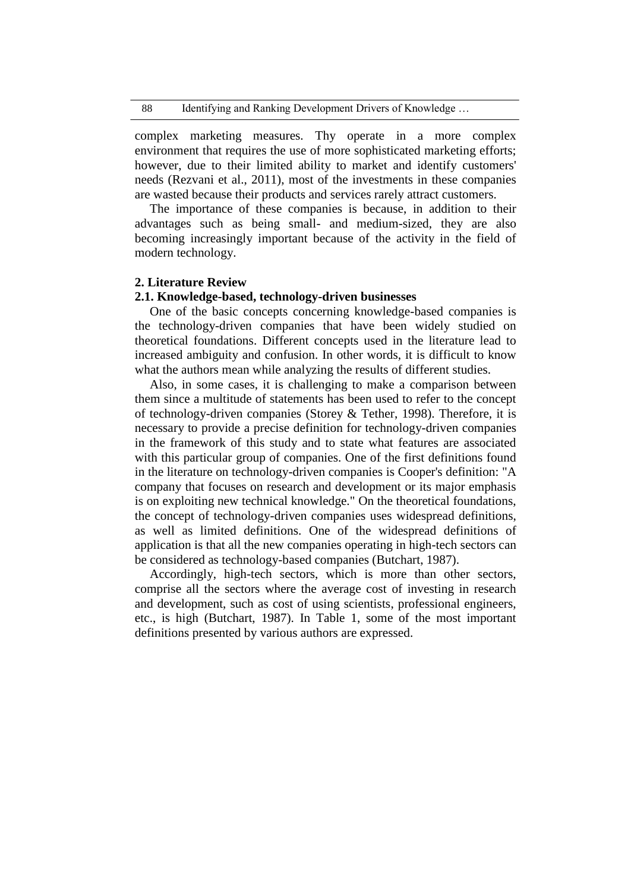complex marketing measures. Thy operate in a more complex environment that requires the use of more sophisticated marketing efforts; however, due to their limited ability to market and identify customers' needs (Rezvani et al., 2011), most of the investments in these companies are wasted because their products and services rarely attract customers.

The importance of these companies is because, in addition to their advantages such as being small- and medium-sized, they are also becoming increasingly important because of the activity in the field of modern technology.

### **2. Literature Review**

## **2.1. Knowledge-based, technology-driven businesses**

One of the basic concepts concerning knowledge-based companies is the technology-driven companies that have been widely studied on theoretical foundations. Different concepts used in the literature lead to increased ambiguity and confusion. In other words, it is difficult to know what the authors mean while analyzing the results of different studies.

Also, in some cases, it is challenging to make a comparison between them since a multitude of statements has been used to refer to the concept of technology-driven companies (Storey & Tether, 1998). Therefore, it is necessary to provide a precise definition for technology-driven companies in the framework of this study and to state what features are associated with this particular group of companies. One of the first definitions found in the literature on technology-driven companies is Cooper's definition: "A company that focuses on research and development or its major emphasis is on exploiting new technical knowledge." On the theoretical foundations, the concept of technology-driven companies uses widespread definitions, as well as limited definitions. One of the widespread definitions of application is that all the new companies operating in high-tech sectors can be considered as technology-based companies (Butchart, 1987).

Accordingly, high-tech sectors, which is more than other sectors, comprise all the sectors where the average cost of investing in research and development, such as cost of using scientists, professional engineers, etc., is high (Butchart, 1987). In Table 1, some of the most important definitions presented by various authors are expressed.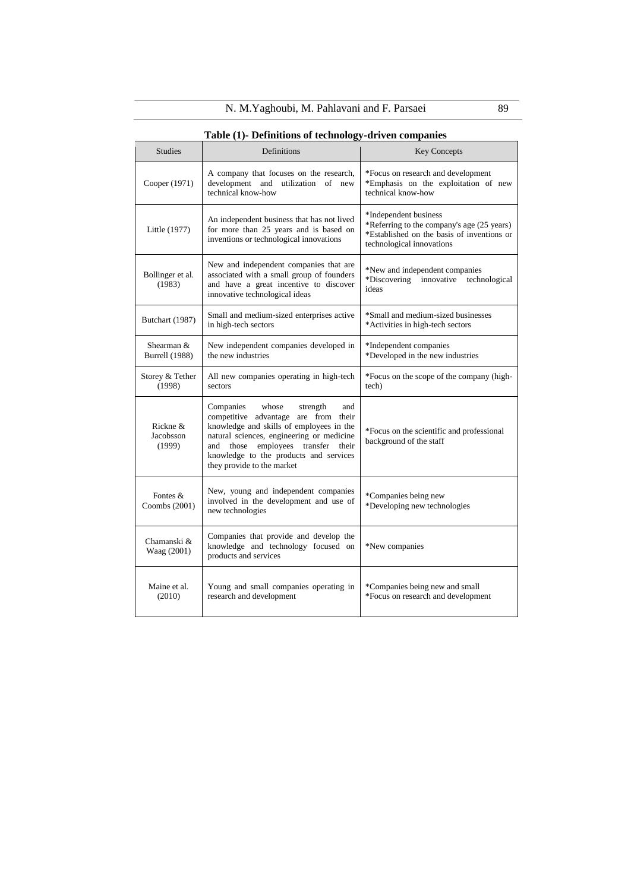|                                     | Table (1)- Definitions of technology-driven companies                                                                                                                                                                                                                                            |                                                                                                                                                |
|-------------------------------------|--------------------------------------------------------------------------------------------------------------------------------------------------------------------------------------------------------------------------------------------------------------------------------------------------|------------------------------------------------------------------------------------------------------------------------------------------------|
| <b>Studies</b>                      | Definitions                                                                                                                                                                                                                                                                                      | <b>Key Concepts</b>                                                                                                                            |
| Cooper (1971)                       | A company that focuses on the research,<br>development and utilization of new<br>technical know-how                                                                                                                                                                                              | *Focus on research and development<br>*Emphasis on the exploitation of new<br>technical know-how                                               |
| Little (1977)                       | An independent business that has not lived<br>for more than 25 years and is based on<br>inventions or technological innovations                                                                                                                                                                  | *Independent business<br>*Referring to the company's age (25 years)<br>*Established on the basis of inventions or<br>technological innovations |
| Bollinger et al.<br>(1983)          | New and independent companies that are<br>associated with a small group of founders<br>and have a great incentive to discover<br>innovative technological ideas                                                                                                                                  | *New and independent companies<br>*Discovering<br>innovative technological<br>ideas                                                            |
| Butchart (1987)                     | Small and medium-sized enterprises active<br>in high-tech sectors                                                                                                                                                                                                                                | *Small and medium-sized businesses<br>*Activities in high-tech sectors                                                                         |
| Shearman &<br><b>Burrell</b> (1988) | New independent companies developed in<br>the new industries                                                                                                                                                                                                                                     | *Independent companies<br>*Developed in the new industries                                                                                     |
| Storey & Tether<br>(1998)           | All new companies operating in high-tech<br>sectors                                                                                                                                                                                                                                              | *Focus on the scope of the company (high-<br>tech)                                                                                             |
| Rickne &<br>Jacobsson<br>(1999)     | whose<br>Companies<br>strength<br>and<br>competitive advantage are from their<br>knowledge and skills of employees in the<br>natural sciences, engineering or medicine<br>employees<br>transfer<br>their<br>and<br>those<br>knowledge to the products and services<br>they provide to the market | *Focus on the scientific and professional<br>background of the staff                                                                           |
| Fontes $&$<br>Coombs (2001)         | New, young and independent companies<br>involved in the development and use of<br>new technologies                                                                                                                                                                                               | *Companies being new<br>*Developing new technologies                                                                                           |
| Chamanski &<br>Waag (2001)          | Companies that provide and develop the<br>knowledge and technology focused on<br>products and services                                                                                                                                                                                           | *New companies                                                                                                                                 |
| Maine et al.<br>(2010)              | Young and small companies operating in<br>research and development                                                                                                                                                                                                                               | *Companies being new and small<br>*Focus on research and development                                                                           |

**Table (1)- Definitions of technology-driven companies**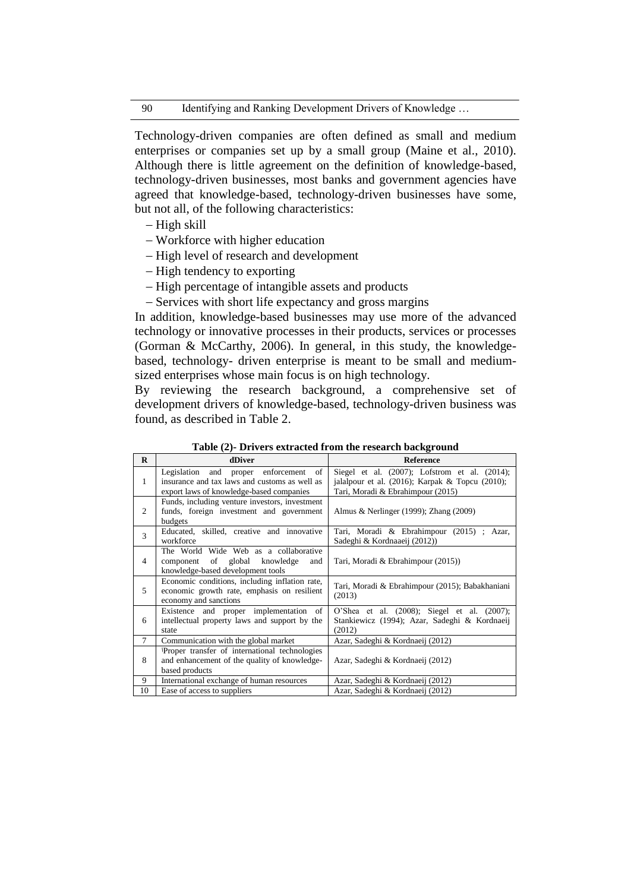Technology-driven companies are often defined as small and medium enterprises or companies set up by a small group (Maine et al., 2010). Although there is little agreement on the definition of knowledge-based, technology-driven businesses, most banks and government agencies have agreed that knowledge-based, technology-driven businesses have some, but not all, of the following characteristics:

- $-High skill$
- Workforce with higher education
- High level of research and development
- High tendency to exporting
- High percentage of intangible assets and products
- Services with short life expectancy and gross margins

In addition, knowledge-based businesses may use more of the advanced technology or innovative processes in their products, services or processes (Gorman & McCarthy, 2006). In general, in this study, the knowledgebased, technology- driven enterprise is meant to be small and mediumsized enterprises whose main focus is on high technology.

By reviewing the research background, a comprehensive set of development drivers of knowledge-based, technology-driven business was found, as described in Table 2.

| $\mathbf{R}$   | dDiver                                                                                                                                | <b>Reference</b>                                                                                                                            |
|----------------|---------------------------------------------------------------------------------------------------------------------------------------|---------------------------------------------------------------------------------------------------------------------------------------------|
| 1              | of<br>Legislation and proper enforcement<br>insurance and tax laws and customs as well as<br>export laws of knowledge-based companies | Siegel et al. (2007); Lofstrom et al. (2014);<br>jalalpour et al. $(2016)$ ; Karpak & Topcu $(2010)$ ;<br>Tari, Moradi & Ebrahimpour (2015) |
| 2              | Funds, including venture investors, investment<br>funds, foreign investment and government<br>budgets                                 | Almus & Nerlinger (1999); Zhang (2009)                                                                                                      |
| $\overline{3}$ | Educated, skilled, creative and innovative<br>workforce                                                                               | Tari, Moradi & Ebrahimpour (2015) ; Azar,<br>Sadeghi & Kordnaaeij (2012))                                                                   |
| $\overline{4}$ | The World Wide Web as a collaborative<br>component of global knowledge<br>and<br>knowledge-based development tools                    | Tari, Moradi & Ebrahimpour (2015))                                                                                                          |
| 5              | Economic conditions, including inflation rate,<br>economic growth rate, emphasis on resilient<br>economy and sanctions                | Tari, Moradi & Ebrahimpour (2015); Babakhaniani<br>(2013)                                                                                   |
| 6              | Existence and proper implementation of<br>intellectual property laws and support by the<br>state                                      | O'Shea et al. (2008); Siegel et al. (2007);<br>Stankiewicz (1994); Azar, Sadeghi & Kordnaeij<br>(2012)                                      |
| $\tau$         | Communication with the global market                                                                                                  | Azar, Sadeghi & Kordnaeij (2012)                                                                                                            |
| 8              | Proper transfer of international technologies<br>and enhancement of the quality of knowledge-<br>based products                       | Azar, Sadeghi & Kordnaeij (2012)                                                                                                            |
| 9              | International exchange of human resources                                                                                             | Azar, Sadeghi & Kordnaeij (2012)                                                                                                            |
| 10             | Ease of access to suppliers                                                                                                           | Azar, Sadeghi & Kordnaeij (2012)                                                                                                            |

**Table (2)- Drivers extracted from the research background**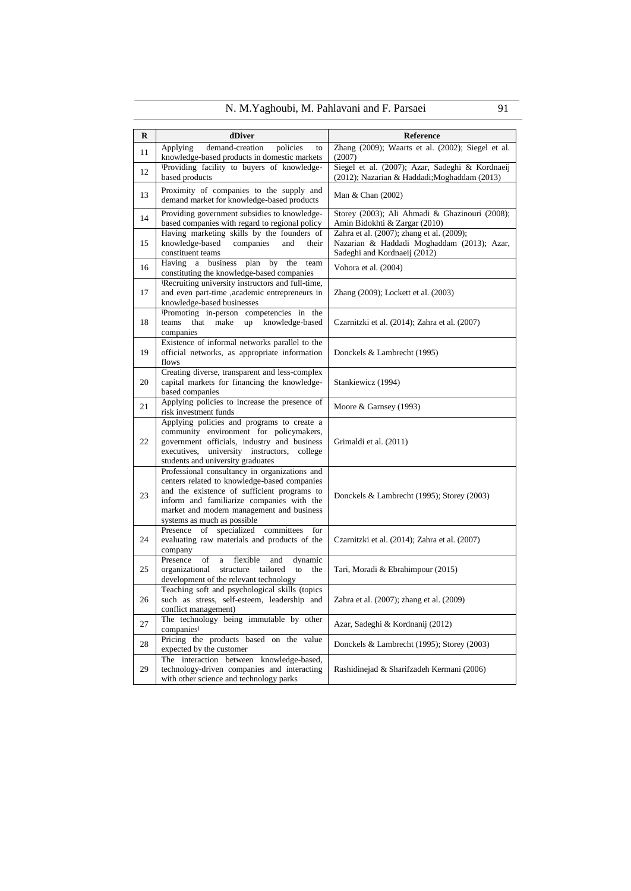| N. M. Yaghoubi, M. Pahlavani and F. Parsaei | 91 |
|---------------------------------------------|----|
|---------------------------------------------|----|

| $\bf{R}$ | dDiver                                                                                                                                                                                                                                                                | Reference                                                                                                               |
|----------|-----------------------------------------------------------------------------------------------------------------------------------------------------------------------------------------------------------------------------------------------------------------------|-------------------------------------------------------------------------------------------------------------------------|
| 11       | demand-creation<br>policies<br>Applying<br>to                                                                                                                                                                                                                         | Zhang (2009); Waarts et al. (2002); Siegel et al.                                                                       |
|          | knowledge-based products in domestic markets                                                                                                                                                                                                                          | (2007)                                                                                                                  |
| 12       | Providing facility to buyers of knowledge-<br>based products                                                                                                                                                                                                          | Siegel et al. (2007); Azar, Sadeghi & Kordnaeij<br>(2012); Nazarian & Haddadi; Moghaddam (2013)                         |
| 13       | Proximity of companies to the supply and<br>demand market for knowledge-based products                                                                                                                                                                                | Man & Chan (2002)                                                                                                       |
| 14       | Providing government subsidies to knowledge-<br>based companies with regard to regional policy                                                                                                                                                                        | Storey (2003); Ali Ahmadi & Ghazinouri (2008);<br>Amin Bidokhti & Zargar (2010)                                         |
| 15       | Having marketing skills by the founders of<br>knowledge-based<br>companies<br>and<br>their<br>constituent teams                                                                                                                                                       | Zahra et al. (2007); zhang et al. (2009);<br>Nazarian & Haddadi Moghaddam (2013); Azar,<br>Sadeghi and Kordnaeij (2012) |
| 16       | Having a business<br>plan<br>by<br>the<br>team<br>constituting the knowledge-based companies                                                                                                                                                                          | Vohora et al. (2004)                                                                                                    |
| 17       | Recruiting university instructors and full-time,<br>and even part-time ,academic entrepreneurs in<br>knowledge-based businesses                                                                                                                                       | Zhang (2009); Lockett et al. (2003)                                                                                     |
| 18       | Promoting in-person competencies in the<br>teams<br>that<br>make<br>up knowledge-based<br>companies                                                                                                                                                                   | Czarnitzki et al. (2014); Zahra et al. (2007)                                                                           |
| 19       | Existence of informal networks parallel to the<br>official networks, as appropriate information<br>flows                                                                                                                                                              | Donckels & Lambrecht (1995)                                                                                             |
| 20       | Creating diverse, transparent and less-complex<br>capital markets for financing the knowledge-<br>based companies                                                                                                                                                     | Stankiewicz (1994)                                                                                                      |
| 21       | Applying policies to increase the presence of<br>risk investment funds                                                                                                                                                                                                | Moore & Garnsey (1993)                                                                                                  |
| 22       | Applying policies and programs to create a<br>community environment for policymakers,<br>government officials, industry and business<br>executives, university instructors,<br>college<br>students and university graduates                                           | Grimaldi et al. (2011)                                                                                                  |
| 23       | Professional consultancy in organizations and<br>centers related to knowledge-based companies<br>and the existence of sufficient programs to<br>inform and familiarize companies with the<br>market and modern management and business<br>systems as much as possible | Donckels & Lambrecht (1995); Storey (2003)                                                                              |
| 24       | Presence of<br>specialized<br>committees<br>for<br>evaluating raw materials and products of the<br>company                                                                                                                                                            | Czarnitzki et al. (2014); Zahra et al. (2007)                                                                           |
| 25       | Presence<br>of<br>flexible<br>and<br>dynamic<br>a<br>organizational<br>structure<br>tailored<br>to<br>the<br>development of the relevant technology                                                                                                                   | Tari, Moradi & Ebrahimpour (2015)                                                                                       |
| 26       | Teaching soft and psychological skills (topics<br>such as stress, self-esteem, leadership and<br>conflict management)                                                                                                                                                 | Zahra et al. (2007); zhang et al. (2009)                                                                                |
| 27       | The technology being immutable by other<br>companies                                                                                                                                                                                                                  | Azar, Sadeghi & Kordnanij (2012)                                                                                        |
| 28       | Pricing the products based on the value<br>expected by the customer                                                                                                                                                                                                   | Donckels & Lambrecht (1995); Storey (2003)                                                                              |
| 29       | The interaction between knowledge-based,<br>technology-driven companies and interacting<br>with other science and technology parks                                                                                                                                    | Rashidinejad & Sharifzadeh Kermani (2006)                                                                               |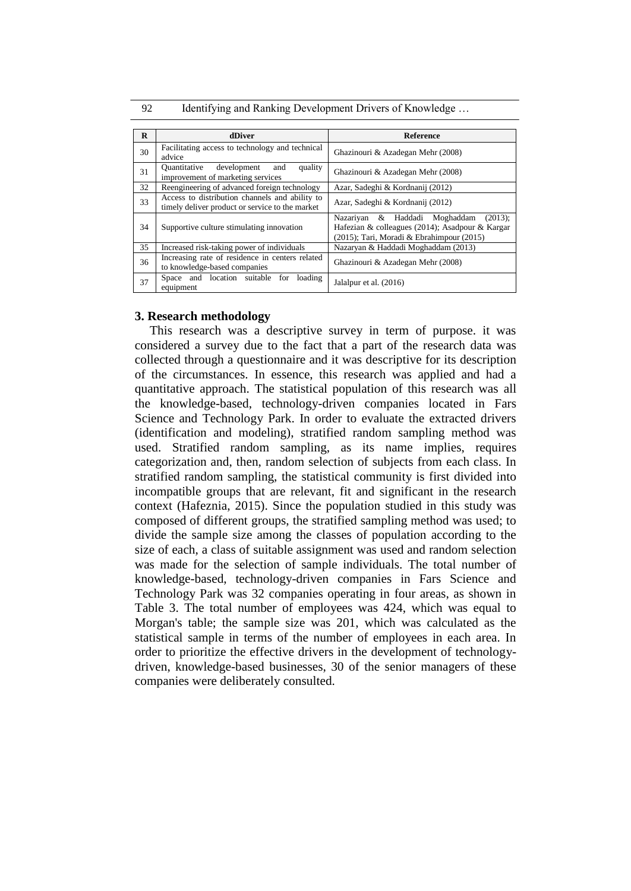92 Identifying and Ranking Development Drivers of Knowledge ...

| $\bf{R}$ | dDiver                                                                                            | <b>Reference</b>                                                                                                                            |  |  |  |
|----------|---------------------------------------------------------------------------------------------------|---------------------------------------------------------------------------------------------------------------------------------------------|--|--|--|
| 30       | Facilitating access to technology and technical<br>advice                                         | Ghazinouri & Azadegan Mehr (2008)                                                                                                           |  |  |  |
| 31       | Quantitative<br>development<br>quality<br>and<br>improvement of marketing services                | Ghazinouri & Azadegan Mehr (2008)                                                                                                           |  |  |  |
| 32       | Reengineering of advanced foreign technology                                                      | Azar, Sadeghi & Kordnanij (2012)                                                                                                            |  |  |  |
| 33       | Access to distribution channels and ability to<br>timely deliver product or service to the market | Azar, Sadeghi & Kordnanij (2012)                                                                                                            |  |  |  |
| 34       | Supportive culture stimulating innovation                                                         | Nazariyan & Haddadi Moghaddam<br>$(2013)$ ;<br>Hafezian & colleagues (2014); Asadpour & Kargar<br>(2015); Tari, Moradi & Ebrahimpour (2015) |  |  |  |
| 35       | Increased risk-taking power of individuals                                                        | Nazaryan & Haddadi Moghaddam (2013)                                                                                                         |  |  |  |
| 36       | Increasing rate of residence in centers related<br>to knowledge-based companies                   | Ghazinouri & Azadegan Mehr (2008)                                                                                                           |  |  |  |
| 37       | Space and location suitable for<br>loading<br>equipment                                           | Jalalpur et al. (2016)                                                                                                                      |  |  |  |

# **3. Research methodology**

This research was a descriptive survey in term of purpose. it was considered a survey due to the fact that a part of the research data was collected through a questionnaire and it was descriptive for its description of the circumstances. In essence, this research was applied and had a quantitative approach. The statistical population of this research was all the knowledge-based, technology-driven companies located in Fars Science and Technology Park. In order to evaluate the extracted drivers (identification and modeling), stratified random sampling method was used. Stratified random sampling, as its name implies, requires categorization and, then, random selection of subjects from each class. In stratified random sampling, the statistical community is first divided into incompatible groups that are relevant, fit and significant in the research context (Hafeznia, 2015). Since the population studied in this study was composed of different groups, the stratified sampling method was used; to divide the sample size among the classes of population according to the size of each, a class of suitable assignment was used and random selection was made for the selection of sample individuals. The total number of knowledge-based, technology-driven companies in Fars Science and Technology Park was 32 companies operating in four areas, as shown in Table 3. The total number of employees was 424, which was equal to Morgan's table; the sample size was 201, which was calculated as the statistical sample in terms of the number of employees in each area. In order to prioritize the effective drivers in the development of technologydriven, knowledge-based businesses, 30 of the senior managers of these companies were deliberately consulted.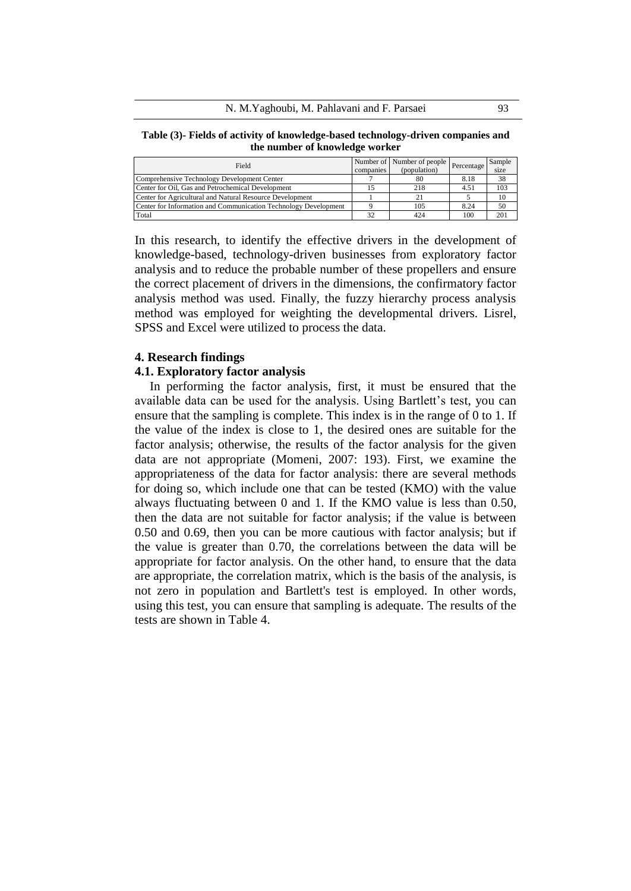**Table (3)- Fields of activity of knowledge-based technology-driven companies and the number of knowledge worker**

| Field                                                           |           | Number of Number of people | Percentage I | Sample |
|-----------------------------------------------------------------|-----------|----------------------------|--------------|--------|
|                                                                 | companies | (population)               |              | size   |
| Comprehensive Technology Development Center                     |           | 80                         | 8.18         | 38     |
| Center for Oil, Gas and Petrochemical Development               |           | 218                        | 4.51         | 103    |
| Center for Agricultural and Natural Resource Development        |           |                            |              | 10     |
| Center for Information and Communication Technology Development |           | 105                        | 8.24         | 50     |
| Total                                                           | 32        | 424                        | 100          | 201    |

In this research, to identify the effective drivers in the development of knowledge-based, technology-driven businesses from exploratory factor analysis and to reduce the probable number of these propellers and ensure the correct placement of drivers in the dimensions, the confirmatory factor analysis method was used. Finally, the fuzzy hierarchy process analysis method was employed for weighting the developmental drivers. Lisrel, SPSS and Excel were utilized to process the data.

## **4. Research findings**

## **4.1. Exploratory factor analysis**

In performing the factor analysis, first, it must be ensured that the available data can be used for the analysis. Using Bartlett's test, you can ensure that the sampling is complete. This index is in the range of 0 to 1. If the value of the index is close to 1, the desired ones are suitable for the factor analysis; otherwise, the results of the factor analysis for the given data are not appropriate (Momeni, 2007: 193). First, we examine the appropriateness of the data for factor analysis: there are several methods for doing so, which include one that can be tested (KMO) with the value always fluctuating between 0 and 1. If the KMO value is less than 0.50, then the data are not suitable for factor analysis; if the value is between 0.50 and 0.69, then you can be more cautious with factor analysis; but if the value is greater than 0.70, the correlations between the data will be appropriate for factor analysis. On the other hand, to ensure that the data are appropriate, the correlation matrix, which is the basis of the analysis, is not zero in population and Bartlett's test is employed. In other words, using this test, you can ensure that sampling is adequate. The results of the tests are shown in Table 4.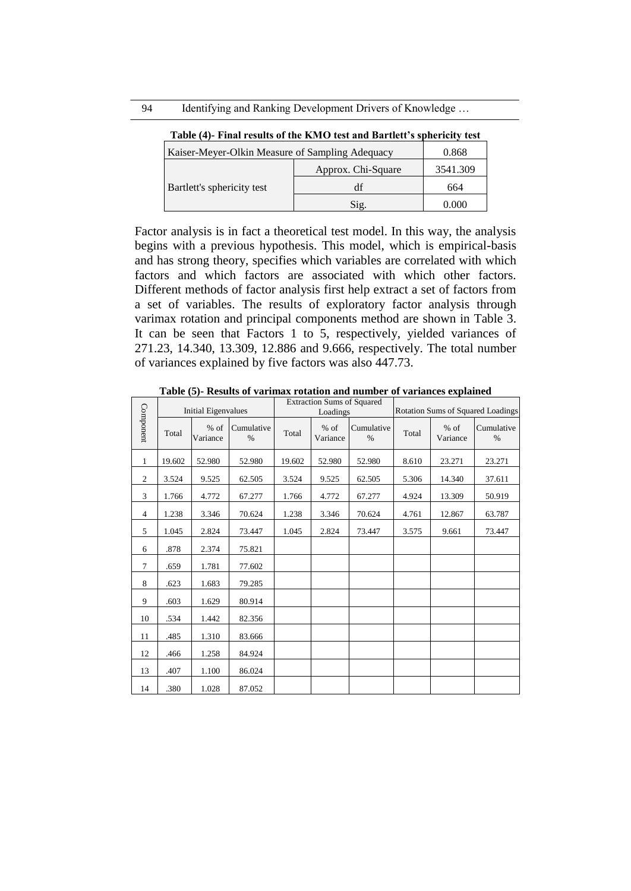|                                                 | Table (4) - Final Fesults of the Kivity test and Daftiell S spilericity test |          |
|-------------------------------------------------|------------------------------------------------------------------------------|----------|
| Kaiser-Meyer-Olkin Measure of Sampling Adequacy |                                                                              | 0.868    |
|                                                 | Approx. Chi-Square                                                           | 3541.309 |
| Bartlett's sphericity test                      | df                                                                           | 664      |
|                                                 | $\mathrm{Sig.}$                                                              | 0.000    |

**Table (4)- Final results of the KMO test and Bartlett's sphericity test**

Factor analysis is in fact a theoretical test model. In this way, the analysis begins with a previous hypothesis. This model, which is empirical-basis and has strong theory, specifies which variables are correlated with which factors and which factors are associated with which other factors. Different methods of factor analysis first help extract a set of factors from a set of variables. The results of exploratory factor analysis through varimax rotation and principal components method are shown in Table 3. It can be seen that Factors 1 to 5, respectively, yielded variances of 271.23, 14.340, 13.309, 12.886 and 9.666, respectively. The total number of variances explained by five factors was also 447.73.

|                | <b>Initial Eigenvalues</b> |                  | <b>Extraction Sums of Squared</b><br>Loadings |        |                    | <b>Rotation Sums of Squared Loadings</b> |       |                    |                    |
|----------------|----------------------------|------------------|-----------------------------------------------|--------|--------------------|------------------------------------------|-------|--------------------|--------------------|
| Component      | Total                      | % of<br>Variance | Cumulative<br>$\frac{0}{0}$                   | Total  | $%$ of<br>Variance | Cumulative<br>$\frac{0}{0}$              | Total | $%$ of<br>Variance | Cumulative<br>$\%$ |
| 1              | 19.602                     | 52.980           | 52.980                                        | 19.602 | 52.980             | 52.980                                   | 8.610 | 23.271             | 23.271             |
| 2              | 3.524                      | 9.525            | 62.505                                        | 3.524  | 9.525              | 62.505                                   | 5.306 | 14.340             | 37.611             |
| 3              | 1.766                      | 4.772            | 67.277                                        | 1.766  | 4.772              | 67.277                                   | 4.924 | 13.309             | 50.919             |
| $\overline{4}$ | 1.238                      | 3.346            | 70.624                                        | 1.238  | 3.346              | 70.624                                   | 4.761 | 12.867             | 63.787             |
| 5              | 1.045                      | 2.824            | 73.447                                        | 1.045  | 2.824              | 73.447                                   | 3.575 | 9.661              | 73.447             |
| 6              | .878                       | 2.374            | 75.821                                        |        |                    |                                          |       |                    |                    |
| $\tau$         | .659                       | 1.781            | 77.602                                        |        |                    |                                          |       |                    |                    |
| 8              | .623                       | 1.683            | 79.285                                        |        |                    |                                          |       |                    |                    |
| 9              | .603                       | 1.629            | 80.914                                        |        |                    |                                          |       |                    |                    |
| 10             | .534                       | 1.442            | 82.356                                        |        |                    |                                          |       |                    |                    |
| 11             | .485                       | 1.310            | 83.666                                        |        |                    |                                          |       |                    |                    |
| 12             | .466                       | 1.258            | 84.924                                        |        |                    |                                          |       |                    |                    |
| 13             | .407                       | 1.100            | 86.024                                        |        |                    |                                          |       |                    |                    |
| 14             | .380                       | 1.028            | 87.052                                        |        |                    |                                          |       |                    |                    |

**Table (5)- Results of varimax rotation and number of variances explained**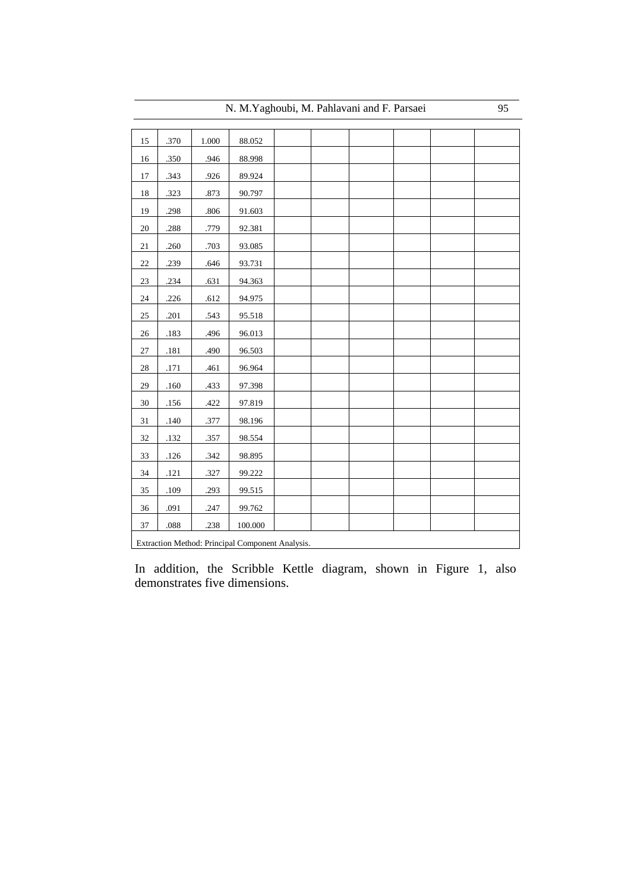| 15<br>.370<br>1.000<br>88.052<br>.350<br>.946<br>88.998<br>16<br>.343<br>.926<br>89.924<br>17<br>18<br>.323<br>.873<br>90.797<br>.298<br>19<br>.806<br>91.603<br>$20\,$<br>.288<br>.779<br>92.381<br>21<br>.260<br>.703<br>93.085<br>.239<br>$22\,$<br>.646<br>93.731<br>$23\,$<br>.234<br>.631<br>94.363<br>.226<br>24<br>.612<br>94.975<br>.201<br>25<br>.543<br>95.518<br>.183<br>.496<br>96.013<br>26<br>$27\,$<br>.181<br>.490<br>96.503<br>$28\,$<br>.171<br>.461<br>96.964<br>29<br>$.160\,$<br>.433<br>97.398<br>$30\,$<br>.156<br>.422<br>97.819<br>31<br>.140<br>.377<br>98.196<br>32<br>.132<br>.357<br>98.554<br>33<br>$.126$<br>.342<br>98.895<br>34<br>.121<br>.327<br>99.222<br>35<br>.109<br>.293<br>99.515<br>99.762<br>36<br>.091<br>.247<br>.088<br>.238<br>100.000<br>37<br>Extraction Method: Principal Component Analysis. |  |  | ◡ |  |  |  |  |  |
|--------------------------------------------------------------------------------------------------------------------------------------------------------------------------------------------------------------------------------------------------------------------------------------------------------------------------------------------------------------------------------------------------------------------------------------------------------------------------------------------------------------------------------------------------------------------------------------------------------------------------------------------------------------------------------------------------------------------------------------------------------------------------------------------------------------------------------------------------|--|--|---|--|--|--|--|--|
|                                                                                                                                                                                                                                                                                                                                                                                                                                                                                                                                                                                                                                                                                                                                                                                                                                                  |  |  |   |  |  |  |  |  |
|                                                                                                                                                                                                                                                                                                                                                                                                                                                                                                                                                                                                                                                                                                                                                                                                                                                  |  |  |   |  |  |  |  |  |
|                                                                                                                                                                                                                                                                                                                                                                                                                                                                                                                                                                                                                                                                                                                                                                                                                                                  |  |  |   |  |  |  |  |  |
|                                                                                                                                                                                                                                                                                                                                                                                                                                                                                                                                                                                                                                                                                                                                                                                                                                                  |  |  |   |  |  |  |  |  |
|                                                                                                                                                                                                                                                                                                                                                                                                                                                                                                                                                                                                                                                                                                                                                                                                                                                  |  |  |   |  |  |  |  |  |
|                                                                                                                                                                                                                                                                                                                                                                                                                                                                                                                                                                                                                                                                                                                                                                                                                                                  |  |  |   |  |  |  |  |  |
|                                                                                                                                                                                                                                                                                                                                                                                                                                                                                                                                                                                                                                                                                                                                                                                                                                                  |  |  |   |  |  |  |  |  |
|                                                                                                                                                                                                                                                                                                                                                                                                                                                                                                                                                                                                                                                                                                                                                                                                                                                  |  |  |   |  |  |  |  |  |
|                                                                                                                                                                                                                                                                                                                                                                                                                                                                                                                                                                                                                                                                                                                                                                                                                                                  |  |  |   |  |  |  |  |  |
|                                                                                                                                                                                                                                                                                                                                                                                                                                                                                                                                                                                                                                                                                                                                                                                                                                                  |  |  |   |  |  |  |  |  |
|                                                                                                                                                                                                                                                                                                                                                                                                                                                                                                                                                                                                                                                                                                                                                                                                                                                  |  |  |   |  |  |  |  |  |
|                                                                                                                                                                                                                                                                                                                                                                                                                                                                                                                                                                                                                                                                                                                                                                                                                                                  |  |  |   |  |  |  |  |  |
|                                                                                                                                                                                                                                                                                                                                                                                                                                                                                                                                                                                                                                                                                                                                                                                                                                                  |  |  |   |  |  |  |  |  |
|                                                                                                                                                                                                                                                                                                                                                                                                                                                                                                                                                                                                                                                                                                                                                                                                                                                  |  |  |   |  |  |  |  |  |
|                                                                                                                                                                                                                                                                                                                                                                                                                                                                                                                                                                                                                                                                                                                                                                                                                                                  |  |  |   |  |  |  |  |  |
|                                                                                                                                                                                                                                                                                                                                                                                                                                                                                                                                                                                                                                                                                                                                                                                                                                                  |  |  |   |  |  |  |  |  |
|                                                                                                                                                                                                                                                                                                                                                                                                                                                                                                                                                                                                                                                                                                                                                                                                                                                  |  |  |   |  |  |  |  |  |
|                                                                                                                                                                                                                                                                                                                                                                                                                                                                                                                                                                                                                                                                                                                                                                                                                                                  |  |  |   |  |  |  |  |  |
|                                                                                                                                                                                                                                                                                                                                                                                                                                                                                                                                                                                                                                                                                                                                                                                                                                                  |  |  |   |  |  |  |  |  |
|                                                                                                                                                                                                                                                                                                                                                                                                                                                                                                                                                                                                                                                                                                                                                                                                                                                  |  |  |   |  |  |  |  |  |
|                                                                                                                                                                                                                                                                                                                                                                                                                                                                                                                                                                                                                                                                                                                                                                                                                                                  |  |  |   |  |  |  |  |  |
|                                                                                                                                                                                                                                                                                                                                                                                                                                                                                                                                                                                                                                                                                                                                                                                                                                                  |  |  |   |  |  |  |  |  |
|                                                                                                                                                                                                                                                                                                                                                                                                                                                                                                                                                                                                                                                                                                                                                                                                                                                  |  |  |   |  |  |  |  |  |
|                                                                                                                                                                                                                                                                                                                                                                                                                                                                                                                                                                                                                                                                                                                                                                                                                                                  |  |  |   |  |  |  |  |  |
|                                                                                                                                                                                                                                                                                                                                                                                                                                                                                                                                                                                                                                                                                                                                                                                                                                                  |  |  |   |  |  |  |  |  |

In addition, the Scribble Kettle diagram, shown in Figure 1, also demonstrates five dimensions.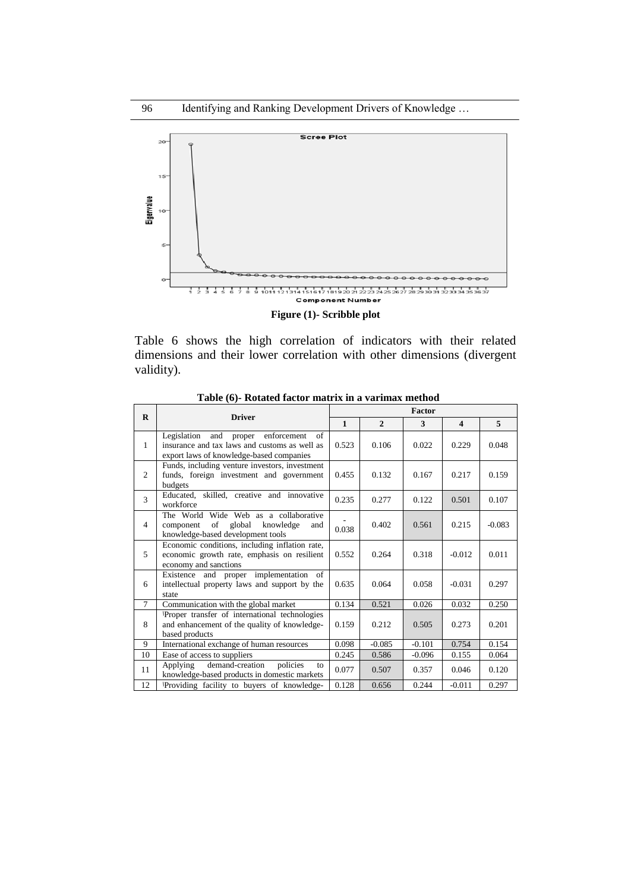

**Figure (1)- Scribble plot**

Table 6 shows the high correlation of indicators with their related dimensions and their lower correlation with other dimensions (divergent validity).

| $\bf{R}$       | <b>Driver</b>                                                                                                                            |              |              | Factor   |                         |          |
|----------------|------------------------------------------------------------------------------------------------------------------------------------------|--------------|--------------|----------|-------------------------|----------|
|                |                                                                                                                                          | $\mathbf{1}$ | $\mathbf{2}$ | 3        | $\overline{\mathbf{4}}$ | 5        |
| 1              | Legislation and<br>proper enforcement<br>of<br>insurance and tax laws and customs as well as<br>export laws of knowledge-based companies | 0.523        | 0.106        | 0.022    | 0.229                   | 0.048    |
| 2              | Funds, including venture investors, investment<br>funds, foreign investment and government<br>budgets                                    | 0.455        | 0.132        | 0.167    | 0.217                   | 0.159    |
| 3              | Educated, skilled, creative and innovative<br>workforce                                                                                  | 0.235        | 0.277        | 0.122    | 0.501                   | 0.107    |
| $\overline{4}$ | The World Wide Web as a collaborative<br>of global<br>knowledge<br>component<br>and<br>knowledge-based development tools                 | 0.038        | 0.402        | 0.561    | 0.215                   | $-0.083$ |
| 5              | Economic conditions, including inflation rate,<br>economic growth rate, emphasis on resilient<br>economy and sanctions                   | 0.552        | 0.264        | 0.318    | $-0.012$                | 0.011    |
| 6              | Existence and proper implementation of<br>intellectual property laws and support by the<br>state                                         | 0.635        | 0.064        | 0.058    | $-0.031$                | 0.297    |
| $\tau$         | Communication with the global market                                                                                                     | 0.134        | 0.521        | 0.026    | 0.032                   | 0.250    |
| 8              | Proper transfer of international technologies<br>and enhancement of the quality of knowledge-<br>based products                          | 0.159        | 0.212        | 0.505    | 0.273                   | 0.201    |
| 9              | International exchange of human resources                                                                                                | 0.098        | $-0.085$     | $-0.101$ | 0.754                   | 0.154    |
| 10             | Ease of access to suppliers                                                                                                              | 0.245        | 0.586        | $-0.096$ | 0.155                   | 0.064    |
| 11             | demand-creation<br>Applying<br>policies<br>to<br>knowledge-based products in domestic markets                                            | 0.077        | 0.507        | 0.357    | 0.046                   | 0.120    |
| 12             | Providing facility to buyers of knowledge-                                                                                               | 0.128        | 0.656        | 0.244    | $-0.011$                | 0.297    |

**Table (6)- Rotated factor matrix in a varimax method**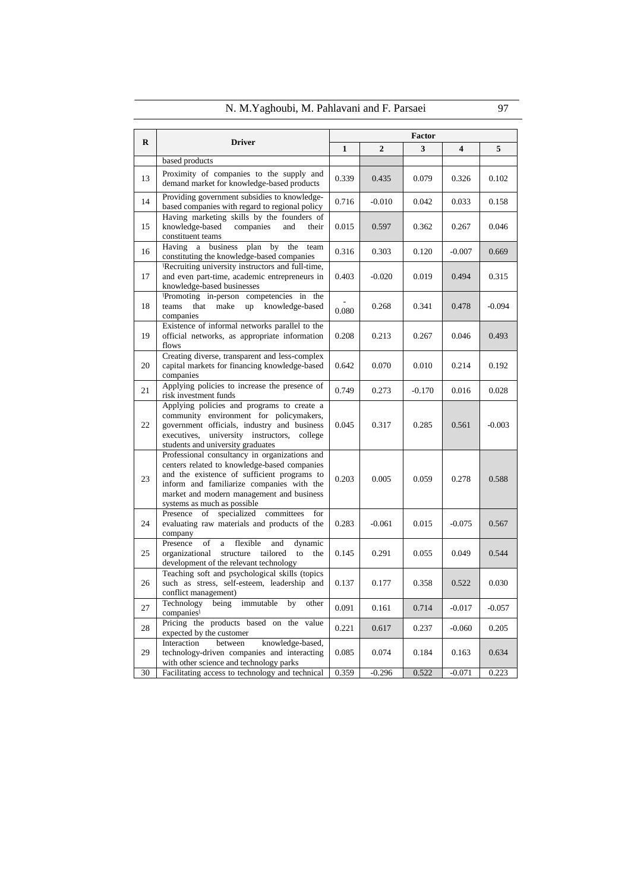|          | IN. IVI. I aghoubl, IVI. Famavam and F. Faisael                                                                                                                                                                                                                       |       |                  |          |          | <b>71</b> |
|----------|-----------------------------------------------------------------------------------------------------------------------------------------------------------------------------------------------------------------------------------------------------------------------|-------|------------------|----------|----------|-----------|
|          |                                                                                                                                                                                                                                                                       |       |                  | Factor   |          |           |
| $\bf{R}$ | <b>Driver</b>                                                                                                                                                                                                                                                         | 1     | $\boldsymbol{2}$ | 3        | 4        | 5         |
|          | based products                                                                                                                                                                                                                                                        |       |                  |          |          |           |
| 13       | Proximity of companies to the supply and<br>demand market for knowledge-based products                                                                                                                                                                                | 0.339 | 0.435            | 0.079    | 0.326    | 0.102     |
| 14       | Providing government subsidies to knowledge-<br>based companies with regard to regional policy                                                                                                                                                                        | 0.716 | $-0.010$         | 0.042    | 0.033    | 0.158     |
| 15       | Having marketing skills by the founders of<br>knowledge-based<br>companies<br>and<br>their<br>constituent teams                                                                                                                                                       | 0.015 | 0.597            | 0.362    | 0.267    | 0.046     |
| 16       | plan by<br>a business<br>the<br>Having<br>team<br>constituting the knowledge-based companies                                                                                                                                                                          | 0.316 | 0.303            | 0.120    | $-0.007$ | 0.669     |
| 17       | Recruiting university instructors and full-time,<br>and even part-time, academic entrepreneurs in<br>knowledge-based businesses                                                                                                                                       | 0.403 | $-0.020$         | 0.019    | 0.494    | 0.315     |
| 18       | Promoting in-person competencies in the<br>up knowledge-based<br>teams<br>that<br>make<br>companies                                                                                                                                                                   | 0.080 | 0.268            | 0.341    | 0.478    | $-0.094$  |
| 19       | Existence of informal networks parallel to the<br>official networks, as appropriate information<br>flows                                                                                                                                                              | 0.208 | 0.213            | 0.267    | 0.046    | 0.493     |
| 20       | Creating diverse, transparent and less-complex<br>capital markets for financing knowledge-based<br>companies                                                                                                                                                          | 0.642 | 0.070            | 0.010    | 0.214    | 0.192     |
| 21       | Applying policies to increase the presence of<br>risk investment funds                                                                                                                                                                                                | 0.749 | 0.273            | $-0.170$ | 0.016    | 0.028     |
| 22       | Applying policies and programs to create a<br>community environment for policymakers,<br>government officials, industry and business<br>university instructors,<br>executives,<br>college<br>students and university graduates                                        | 0.045 | 0.317            | 0.285    | 0.561    | $-0.003$  |
| 23       | Professional consultancy in organizations and<br>centers related to knowledge-based companies<br>and the existence of sufficient programs to<br>inform and familiarize companies with the<br>market and modern management and business<br>systems as much as possible | 0.203 | 0.005            | 0.059    | 0.278    | 0.588     |
| 24       | specialized committees<br>Presence of<br>for<br>evaluating raw materials and products of the<br>company                                                                                                                                                               | 0.283 | $-0.061$         | 0.015    | $-0.075$ | 0.567     |
| 25       | Presence<br>of<br>flexible<br>dynamic<br>and<br>a<br>organizational<br>structure tailored<br>to<br>the<br>development of the relevant technology                                                                                                                      | 0.145 | 0.291            | 0.055    | 0.049    | 0.544     |
| 26       | Teaching soft and psychological skills (topics<br>such as stress, self-esteem, leadership and<br>conflict management)                                                                                                                                                 | 0.137 | 0.177            | 0.358    | 0.522    | 0.030     |
| 27       | Technology<br>immutable<br>being<br>by<br>other<br>companies                                                                                                                                                                                                          | 0.091 | 0.161            | 0.714    | $-0.017$ | $-0.057$  |
| 28       | Pricing the products based on the value<br>expected by the customer                                                                                                                                                                                                   | 0.221 | 0.617            | 0.237    | $-0.060$ | 0.205     |
| 29       | Interaction<br>between<br>knowledge-based,<br>technology-driven companies and interacting<br>with other science and technology parks                                                                                                                                  | 0.085 | 0.074            | 0.184    | 0.163    | 0.634     |
| 30       | Facilitating access to technology and technical                                                                                                                                                                                                                       | 0.359 | $-0.296$         | 0.522    | $-0.071$ | 0.223     |

# N. M.Yaghoubi, M. Pahlavani and F. Parsaei 97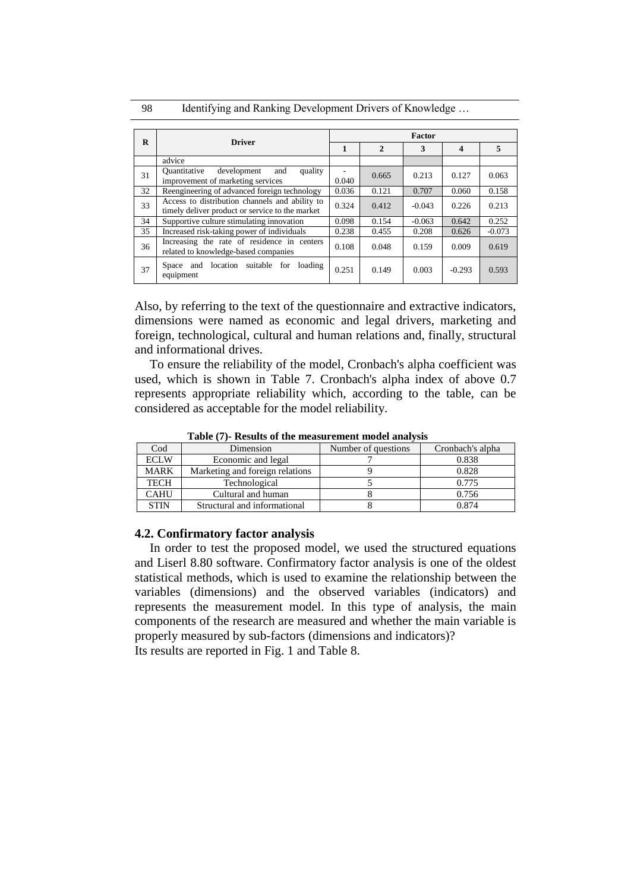98 Identifying and Ranking Development Drivers of Knowledge ...

|    |                                                                                                   |       |                | Factor   |                  |          |
|----|---------------------------------------------------------------------------------------------------|-------|----------------|----------|------------------|----------|
| R  | <b>Driver</b>                                                                                     | 1     | $\overline{2}$ | 3        | $\boldsymbol{4}$ | 5        |
|    | advice                                                                                            |       |                |          |                  |          |
| 31 | Ouantitative<br>development<br>quality<br>and<br>improvement of marketing services                | 0.040 | 0.665          | 0.213    | 0.127            | 0.063    |
| 32 | Reengineering of advanced foreign technology                                                      | 0.036 | 0.121          | 0.707    | 0.060            | 0.158    |
| 33 | Access to distribution channels and ability to<br>timely deliver product or service to the market | 0.324 | 0.412          | $-0.043$ | 0.226            | 0.213    |
| 34 | Supportive culture stimulating innovation                                                         | 0.098 | 0.154          | $-0.063$ | 0.642            | 0.252    |
| 35 | Increased risk-taking power of individuals                                                        | 0.238 | 0.455          | 0.208    | 0.626            | $-0.073$ |
| 36 | Increasing the rate of residence in centers<br>related to knowledge-based companies               | 0.108 | 0.048          | 0.159    | 0.009            | 0.619    |
| 37 | Space and location suitable for<br>loading<br>equipment                                           | 0.251 | 0.149          | 0.003    | $-0.293$         | 0.593    |

Also, by referring to the text of the questionnaire and extractive indicators, dimensions were named as economic and legal drivers, marketing and foreign, technological, cultural and human relations and, finally, structural and informational drives.

To ensure the reliability of the model, Cronbach's alpha coefficient was used, which is shown in Table 7. Cronbach's alpha index of above 0.7 represents appropriate reliability which, according to the table, can be considered as acceptable for the model reliability.

| <b>Table</b> (7) Results of the ineasurement model analysis |                                 |                     |                  |  |  |  |
|-------------------------------------------------------------|---------------------------------|---------------------|------------------|--|--|--|
| $\mathrm{Cod}$                                              | Dimension                       | Number of questions | Cronbach's alpha |  |  |  |
| <b>ECLW</b>                                                 | Economic and legal              |                     | 0.838            |  |  |  |
| <b>MARK</b>                                                 | Marketing and foreign relations |                     | 0.828            |  |  |  |
| <b>TECH</b>                                                 | Technological                   |                     | 0.775            |  |  |  |
| <b>CAHU</b>                                                 | Cultural and human              |                     | 0.756            |  |  |  |
| <b>STIN</b>                                                 | Structural and informational    |                     | 0.874            |  |  |  |

**Table (7)- Results of the measurement model analysis**

## **4.2. Confirmatory factor analysis**

In order to test the proposed model, we used the structured equations and Liserl 8.80 software. Confirmatory factor analysis is one of the oldest statistical methods, which is used to examine the relationship between the variables (dimensions) and the observed variables (indicators) and represents the measurement model. In this type of analysis, the main components of the research are measured and whether the main variable is properly measured by sub-factors (dimensions and indicators)? Its results are reported in Fig. 1 and Table 8.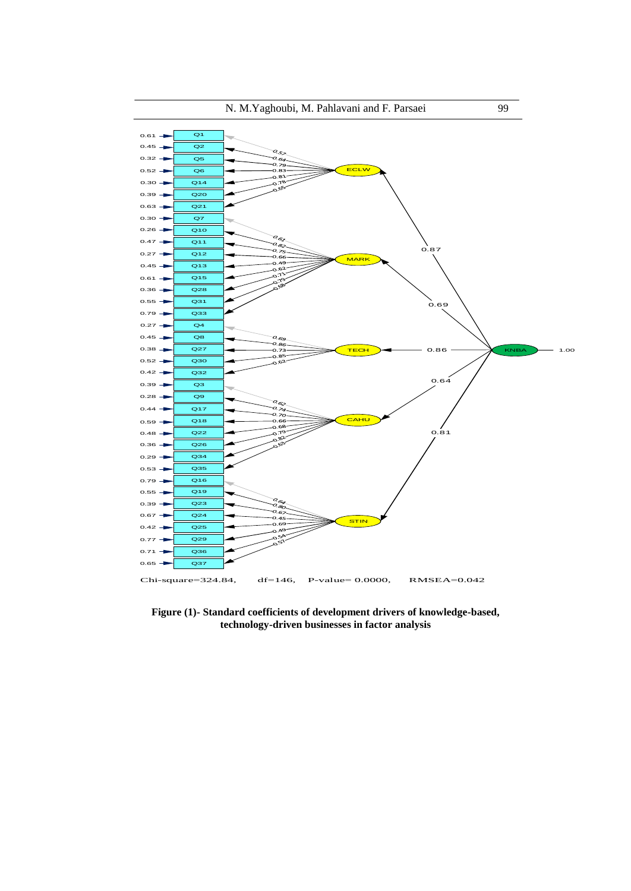

**Figure (1)- Standard coefficients of development drivers of knowledge-based, technology-driven businesses in factor analysis**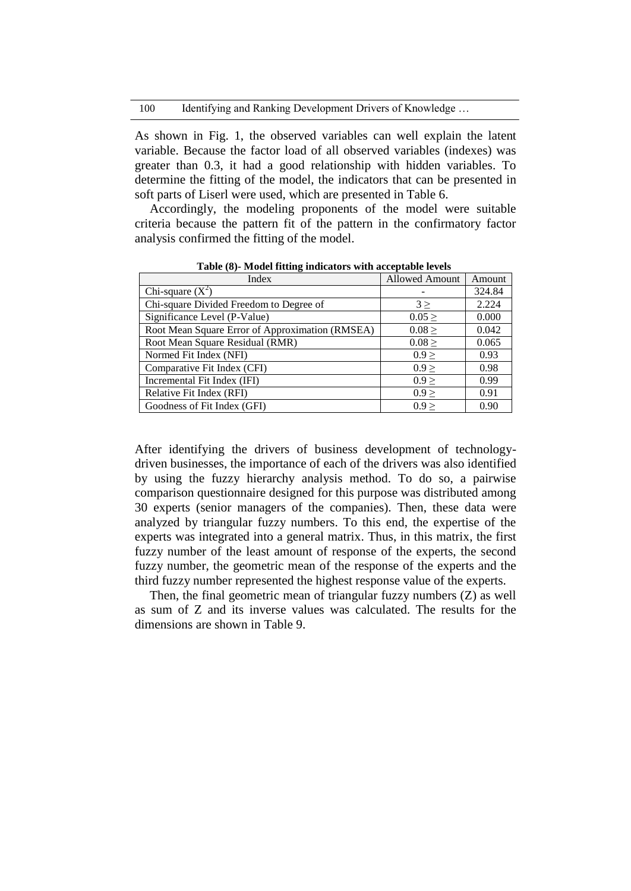### 100 Identifying and Ranking Development Drivers of Knowledge ...

As shown in Fig. 1, the observed variables can well explain the latent variable. Because the factor load of all observed variables (indexes) was greater than 0.3, it had a good relationship with hidden variables. To determine the fitting of the model, the indicators that can be presented in soft parts of Liserl were used, which are presented in Table 6.

Accordingly, the modeling proponents of the model were suitable criteria because the pattern fit of the pattern in the confirmatory factor analysis confirmed the fitting of the model.

| <b>THOUGH INGHILE INGHUMOLD</b> WILL HOOD MOTO IO TO D |                |        |  |  |  |  |
|--------------------------------------------------------|----------------|--------|--|--|--|--|
| Index                                                  | Allowed Amount | Amount |  |  |  |  |
| Chi-square $(X^2)$                                     |                | 324.84 |  |  |  |  |
| Chi-square Divided Freedom to Degree of                | $3 \geq$       | 2.224  |  |  |  |  |
| Significance Level (P-Value)                           | $0.05 \ge$     | 0.000  |  |  |  |  |
| Root Mean Square Error of Approximation (RMSEA)        | $0.08 \ge$     | 0.042  |  |  |  |  |
| Root Mean Square Residual (RMR)                        | $0.08 \ge$     | 0.065  |  |  |  |  |
| Normed Fit Index (NFI)                                 | $0.9 \geq$     | 0.93   |  |  |  |  |
| Comparative Fit Index (CFI)                            | 0.9 >          | 0.98   |  |  |  |  |
| Incremental Fit Index (IFI)                            | 0.9 >          | 0.99   |  |  |  |  |
| Relative Fit Index (RFI)                               | 0.9 >          | 0.91   |  |  |  |  |
| Goodness of Fit Index (GFI)                            | 0.9 >          | 0.90   |  |  |  |  |

**Table (8)- Model fitting indicators with acceptable levels**

After identifying the drivers of business development of technologydriven businesses, the importance of each of the drivers was also identified by using the fuzzy hierarchy analysis method. To do so, a pairwise comparison questionnaire designed for this purpose was distributed among 30 experts (senior managers of the companies). Then, these data were analyzed by triangular fuzzy numbers. To this end, the expertise of the experts was integrated into a general matrix. Thus, in this matrix, the first fuzzy number of the least amount of response of the experts, the second fuzzy number, the geometric mean of the response of the experts and the third fuzzy number represented the highest response value of the experts.

Then, the final geometric mean of triangular fuzzy numbers (Z) as well as sum of Z and its inverse values was calculated. The results for the dimensions are shown in Table 9.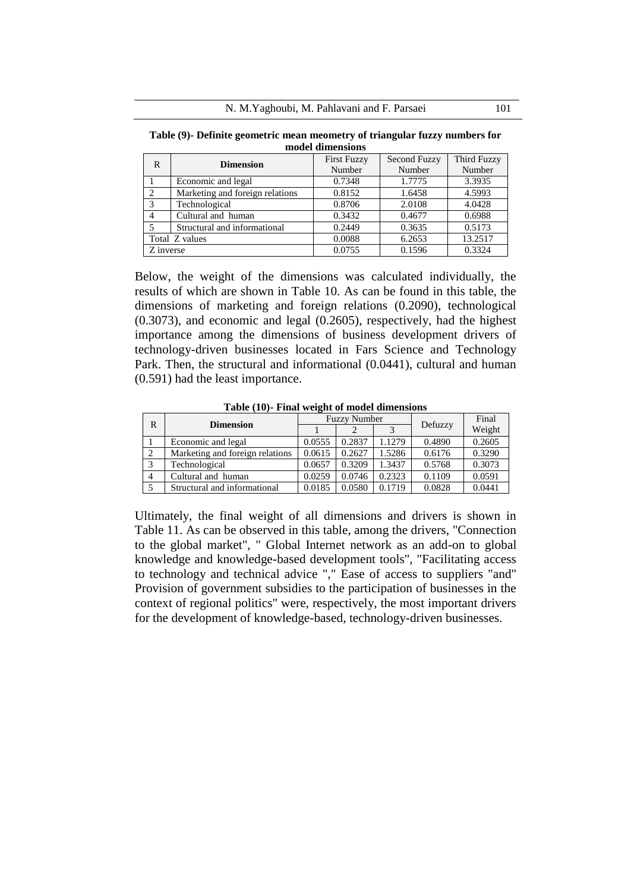**Table (9)- Definite geometric mean meometry of triangular fuzzy numbers for model dimensions**

| R              | <b>Dimension</b>                | <b>First Fuzzy</b> | <b>Second Fuzzy</b> | Third Fuzzy |  |
|----------------|---------------------------------|--------------------|---------------------|-------------|--|
|                |                                 | Number             | Number              | Number      |  |
|                | Economic and legal              | 0.7348             | 1.7775              | 3.3935      |  |
| 2              | Marketing and foreign relations | 0.8152             | 1.6458              | 4.5993      |  |
| 3              | Technological                   | 0.8706             | 2.0108              | 4.0428      |  |
| 4              | Cultural and human              | 0.3432             | 0.4677              | 0.6988      |  |
|                | Structural and informational    | 0.2449             | 0.3635              | 0.5173      |  |
| Total Z values |                                 | 0.0088             | 6.2653              | 13.2517     |  |
| Z inverse      |                                 | 0.0755             | 0.1596              | 0.3324      |  |

Below, the weight of the dimensions was calculated individually, the results of which are shown in Table 10. As can be found in this table, the dimensions of marketing and foreign relations (0.2090), technological (0.3073), and economic and legal (0.2605), respectively, had the highest importance among the dimensions of business development drivers of technology-driven businesses located in Fars Science and Technology Park. Then, the structural and informational (0.0441), cultural and human (0.591) had the least importance.

| R              | <b>Dimension</b>                | <b>Fuzzy Number</b> |        |        |         | Final  |
|----------------|---------------------------------|---------------------|--------|--------|---------|--------|
|                |                                 |                     |        |        | Defuzzy | Weight |
|                | Economic and legal              | 0.0555              | 0.2837 | 1.1279 | 0.4890  | 0.2605 |
| 2              | Marketing and foreign relations | 0.0615              | 0.2627 | 1.5286 | 0.6176  | 0.3290 |
| 3              | Technological                   | 0.0657              | 0.3209 | 1.3437 | 0.5768  | 0.3073 |
| $\overline{4}$ | Cultural and human              | 0.0259              | 0.0746 | 0.2323 | 0.1109  | 0.0591 |
|                | Structural and informational    | 0.0185              | 0.0580 | 0.1719 | 0.0828  | 0.0441 |

**Table (10)- Final weight of model dimensions**

Ultimately, the final weight of all dimensions and drivers is shown in Table 11. As can be observed in this table, among the drivers, "Connection to the global market", " Global Internet network as an add-on to global knowledge and knowledge-based development tools", "Facilitating access to technology and technical advice "," Ease of access to suppliers "and" Provision of government subsidies to the participation of businesses in the context of regional politics" were, respectively, the most important drivers for the development of knowledge-based, technology-driven businesses.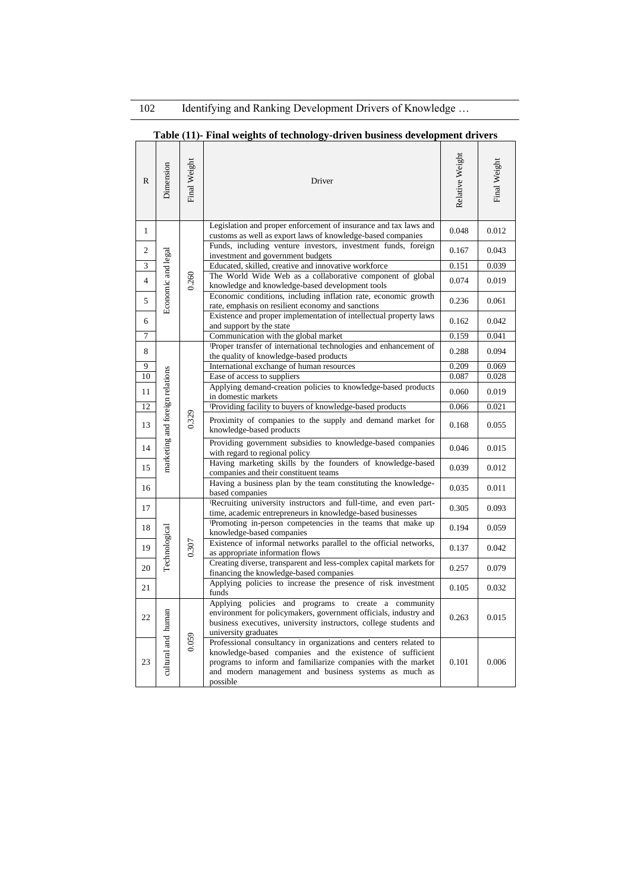# **Table )11(- Final weights of technology-driven business development drivers**

| $\mathbb{R}$            | Dimension                       | Final Weight | Driver                                                                                                                                                                                                                                                             | Relative Weight | Final Weight |
|-------------------------|---------------------------------|--------------|--------------------------------------------------------------------------------------------------------------------------------------------------------------------------------------------------------------------------------------------------------------------|-----------------|--------------|
| 1                       |                                 |              | Legislation and proper enforcement of insurance and tax laws and<br>customs as well as export laws of knowledge-based companies                                                                                                                                    | 0.048           | 0.012        |
| $\overline{c}$          |                                 |              | Funds, including venture investors, investment funds, foreign<br>investment and government budgets                                                                                                                                                                 | 0.167           | 0.043        |
| 3                       |                                 |              | Educated, skilled, creative and innovative workforce                                                                                                                                                                                                               | 0.151           | 0.039        |
| $\overline{\mathbf{4}}$ |                                 | 0.260        | The World Wide Web as a collaborative component of global<br>knowledge and knowledge-based development tools                                                                                                                                                       | 0.074           | 0.019        |
| 5                       | Economic and legal              |              | Economic conditions, including inflation rate, economic growth<br>rate, emphasis on resilient economy and sanctions                                                                                                                                                | 0.236           | 0.061        |
| 6                       |                                 |              | Existence and proper implementation of intellectual property laws<br>and support by the state                                                                                                                                                                      | 0.162           | 0.042        |
| 7                       |                                 |              | Communication with the global market                                                                                                                                                                                                                               | 0.159           | 0.041        |
| 8                       |                                 |              | Proper transfer of international technologies and enhancement of<br>the quality of knowledge-based products                                                                                                                                                        | 0.288           | 0.094        |
| 9                       |                                 |              | International exchange of human resources                                                                                                                                                                                                                          | 0.209           | 0.069        |
| 10                      |                                 |              | Ease of access to suppliers                                                                                                                                                                                                                                        | 0.087           | 0.028        |
| 11                      |                                 |              | Applying demand-creation policies to knowledge-based products<br>in domestic markets                                                                                                                                                                               | 0.060           | 0.019        |
| 12                      |                                 |              | Providing facility to buyers of knowledge-based products                                                                                                                                                                                                           | 0.066           | 0.021        |
| 13                      | marketing and foreign relations | 0.329        | Proximity of companies to the supply and demand market for<br>knowledge-based products                                                                                                                                                                             | 0.168           | 0.055        |
| 14                      |                                 |              | Providing government subsidies to knowledge-based companies<br>with regard to regional policy                                                                                                                                                                      | 0.046           | 0.015        |
| 15                      |                                 |              | Having marketing skills by the founders of knowledge-based<br>companies and their constituent teams                                                                                                                                                                | 0.039           | 0.012        |
| 16                      |                                 |              | Having a business plan by the team constituting the knowledge-<br>based companies                                                                                                                                                                                  | 0.035           | 0.011        |
| 17                      |                                 |              | Recruiting university instructors and full-time, and even part-<br>time, academic entrepreneurs in knowledge-based businesses                                                                                                                                      | 0.305           | 0.093        |
| 18                      |                                 |              | Promoting in-person competencies in the teams that make up<br>knowledge-based companies                                                                                                                                                                            | 0.194           | 0.059        |
| 19                      | Technological                   | 0.307        | Existence of informal networks parallel to the official networks,<br>as appropriate information flows                                                                                                                                                              | 0.137           | 0.042        |
| 20                      |                                 |              | Creating diverse, transparent and less-complex capital markets for<br>financing the knowledge-based companies                                                                                                                                                      | 0.257           | 0.079        |
| 21                      |                                 |              | Applying policies to increase the presence of risk investment<br>funds                                                                                                                                                                                             | 0.105           | 0.032        |
| 22                      |                                 |              | Applying policies and programs to create a community<br>environment for policymakers, government officials, industry and<br>business executives, university instructors, college students and<br>university graduates                                              | 0.263           | 0.015        |
| 23                      | cultural and human              | 0.059        | Professional consultancy in organizations and centers related to<br>knowledge-based companies and the existence of sufficient<br>programs to inform and familiarize companies with the market<br>and modern management and business systems as much as<br>possible | 0.101           | 0.006        |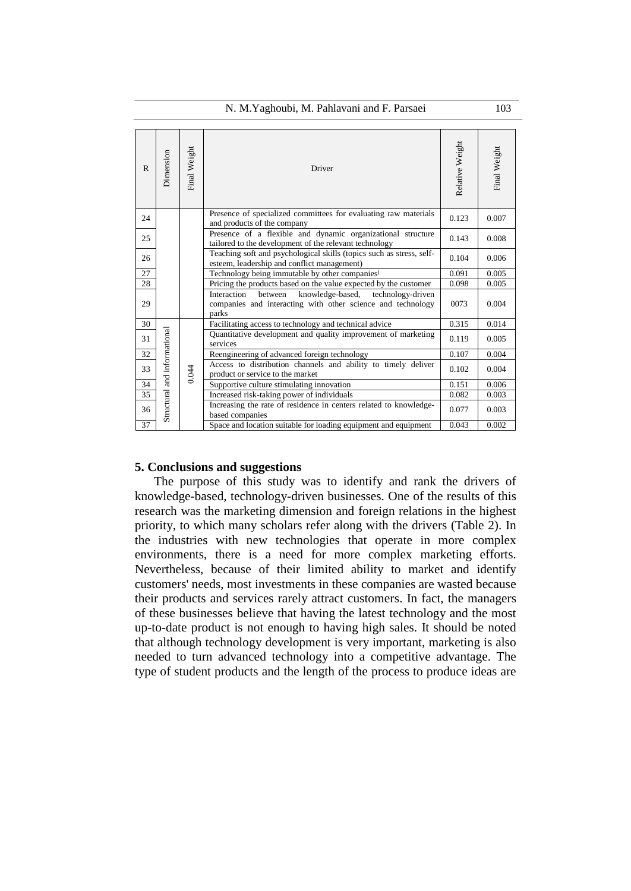| R  | Dimension                    | Final Weight | Driver                                                                                                                                  | Relative Weight | Final Weight |
|----|------------------------------|--------------|-----------------------------------------------------------------------------------------------------------------------------------------|-----------------|--------------|
| 24 |                              |              | Presence of specialized committees for evaluating raw materials<br>and products of the company                                          | 0.123           | 0.007        |
| 25 |                              |              | Presence of a flexible and dynamic organizational structure<br>tailored to the development of the relevant technology                   | 0.143           | 0.008        |
| 26 |                              |              | Teaching soft and psychological skills (topics such as stress, self-<br>esteem, leadership and conflict management)                     | 0.104           | 0.006        |
| 27 |                              |              | Technology being immutable by other companies                                                                                           | 0.091           | 0.005        |
| 28 |                              |              | Pricing the products based on the value expected by the customer                                                                        | 0.098           | 0.005        |
| 29 |                              |              | knowledge-based,<br>Interaction<br>between<br>technology-driven<br>companies and interacting with other science and technology<br>parks | 0073            | 0.004        |
| 30 |                              |              | Facilitating access to technology and technical advice                                                                                  | 0.315           | 0.014        |
| 31 |                              |              | Quantitative development and quality improvement of marketing<br>services                                                               | 0.119           | 0.005        |
| 32 |                              |              | Reengineering of advanced foreign technology                                                                                            | 0.107           | 0.004        |
| 33 |                              | 0.044        | Access to distribution channels and ability to timely deliver<br>product or service to the market                                       | 0.102           | 0.004        |
| 34 |                              |              | Supportive culture stimulating innovation                                                                                               | 0.151           | 0.006        |
| 35 |                              |              | Increased risk-taking power of individuals                                                                                              | 0.082           | 0.003        |
| 36 | Structural and informational |              | Increasing the rate of residence in centers related to knowledge-<br>based companies                                                    | 0.077           | 0.003        |
| 37 |                              |              | Space and location suitable for loading equipment and equipment                                                                         | 0.043           | 0.002        |

### **5. Conclusions and suggestions**

The purpose of this study was to identify and rank the drivers of knowledge-based, technology-driven businesses. One of the results of this research was the marketing dimension and foreign relations in the highest priority, to which many scholars refer along with the drivers (Table 2). In the industries with new technologies that operate in more complex environments, there is a need for more complex marketing efforts. Nevertheless, because of their limited ability to market and identify customers' needs, most investments in these companies are wasted because their products and services rarely attract customers. In fact, the managers of these businesses believe that having the latest technology and the most up-to-date product is not enough to having high sales. It should be noted that although technology development is very important, marketing is also needed to turn advanced technology into a competitive advantage. The type of student products and the length of the process to produce ideas are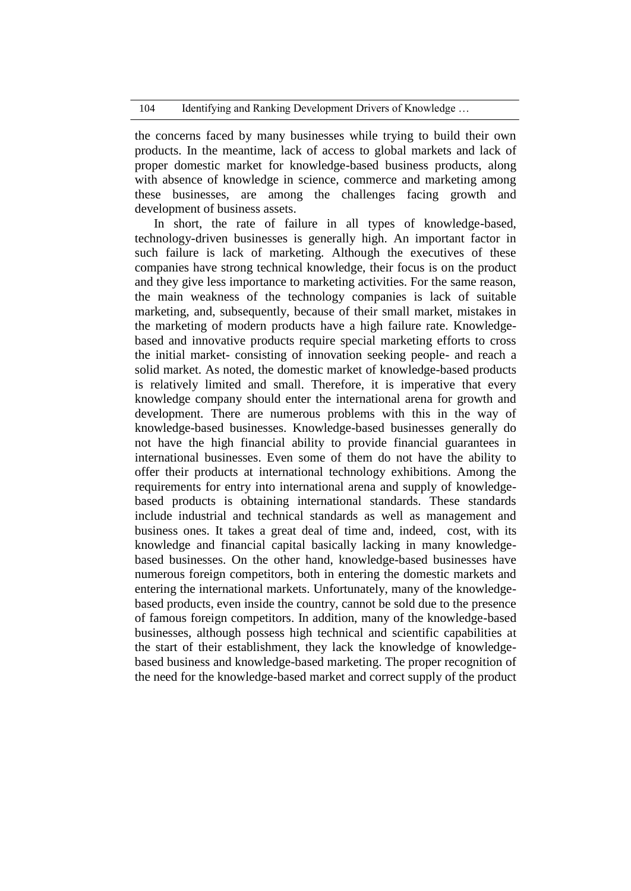the concerns faced by many businesses while trying to build their own products. In the meantime, lack of access to global markets and lack of proper domestic market for knowledge-based business products, along with absence of knowledge in science, commerce and marketing among these businesses, are among the challenges facing growth and development of business assets.

In short, the rate of failure in all types of knowledge-based, technology-driven businesses is generally high. An important factor in such failure is lack of marketing. Although the executives of these companies have strong technical knowledge, their focus is on the product and they give less importance to marketing activities. For the same reason, the main weakness of the technology companies is lack of suitable marketing, and, subsequently, because of their small market, mistakes in the marketing of modern products have a high failure rate. Knowledgebased and innovative products require special marketing efforts to cross the initial market- consisting of innovation seeking people- and reach a solid market. As noted, the domestic market of knowledge-based products is relatively limited and small. Therefore, it is imperative that every knowledge company should enter the international arena for growth and development. There are numerous problems with this in the way of knowledge-based businesses. Knowledge-based businesses generally do not have the high financial ability to provide financial guarantees in international businesses. Even some of them do not have the ability to offer their products at international technology exhibitions. Among the requirements for entry into international arena and supply of knowledgebased products is obtaining international standards. These standards include industrial and technical standards as well as management and business ones. It takes a great deal of time and, indeed, cost, with its knowledge and financial capital basically lacking in many knowledgebased businesses. On the other hand, knowledge-based businesses have numerous foreign competitors, both in entering the domestic markets and entering the international markets. Unfortunately, many of the knowledgebased products, even inside the country, cannot be sold due to the presence of famous foreign competitors. In addition, many of the knowledge-based businesses, although possess high technical and scientific capabilities at the start of their establishment, they lack the knowledge of knowledgebased business and knowledge-based marketing. The proper recognition of the need for the knowledge-based market and correct supply of the product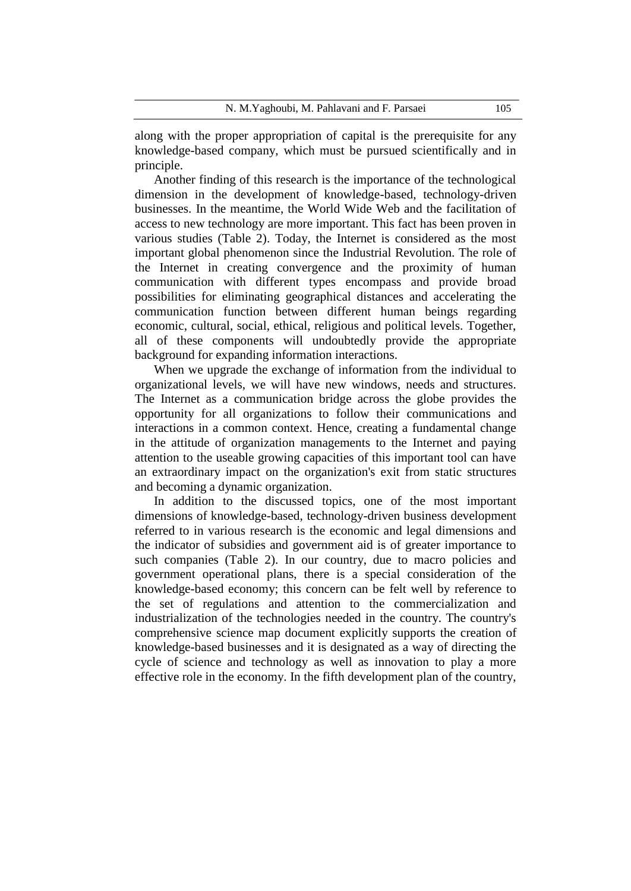along with the proper appropriation of capital is the prerequisite for any knowledge-based company, which must be pursued scientifically and in principle.

Another finding of this research is the importance of the technological dimension in the development of knowledge-based, technology-driven businesses. In the meantime, the World Wide Web and the facilitation of access to new technology are more important. This fact has been proven in various studies (Table 2). Today, the Internet is considered as the most important global phenomenon since the Industrial Revolution. The role of the Internet in creating convergence and the proximity of human communication with different types encompass and provide broad possibilities for eliminating geographical distances and accelerating the communication function between different human beings regarding economic, cultural, social, ethical, religious and political levels. Together, all of these components will undoubtedly provide the appropriate background for expanding information interactions.

When we upgrade the exchange of information from the individual to organizational levels, we will have new windows, needs and structures. The Internet as a communication bridge across the globe provides the opportunity for all organizations to follow their communications and interactions in a common context. Hence, creating a fundamental change in the attitude of organization managements to the Internet and paying attention to the useable growing capacities of this important tool can have an extraordinary impact on the organization's exit from static structures and becoming a dynamic organization.

In addition to the discussed topics, one of the most important dimensions of knowledge-based, technology-driven business development referred to in various research is the economic and legal dimensions and the indicator of subsidies and government aid is of greater importance to such companies (Table 2). In our country, due to macro policies and government operational plans, there is a special consideration of the knowledge-based economy; this concern can be felt well by reference to the set of regulations and attention to the commercialization and industrialization of the technologies needed in the country. The country's comprehensive science map document explicitly supports the creation of knowledge-based businesses and it is designated as a way of directing the cycle of science and technology as well as innovation to play a more effective role in the economy. In the fifth development plan of the country,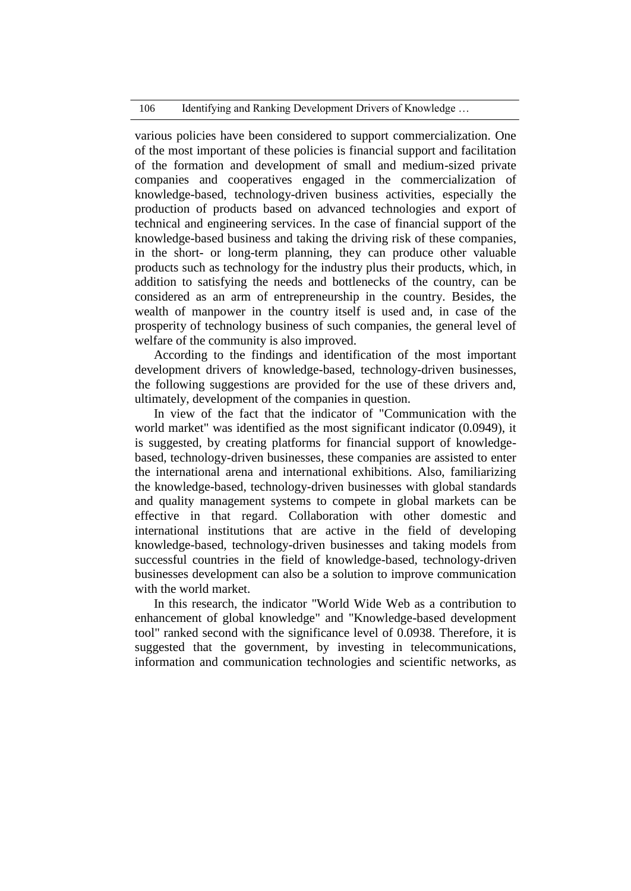### 106 Identifying and Ranking Development Drivers of Knowledge ...

various policies have been considered to support commercialization. One of the most important of these policies is financial support and facilitation of the formation and development of small and medium-sized private companies and cooperatives engaged in the commercialization of knowledge-based, technology-driven business activities, especially the production of products based on advanced technologies and export of technical and engineering services. In the case of financial support of the knowledge-based business and taking the driving risk of these companies, in the short- or long-term planning, they can produce other valuable products such as technology for the industry plus their products, which, in addition to satisfying the needs and bottlenecks of the country, can be considered as an arm of entrepreneurship in the country. Besides, the wealth of manpower in the country itself is used and, in case of the prosperity of technology business of such companies, the general level of welfare of the community is also improved.

According to the findings and identification of the most important development drivers of knowledge-based, technology-driven businesses, the following suggestions are provided for the use of these drivers and, ultimately, development of the companies in question.

In view of the fact that the indicator of "Communication with the world market" was identified as the most significant indicator (0.0949), it is suggested, by creating platforms for financial support of knowledgebased, technology-driven businesses, these companies are assisted to enter the international arena and international exhibitions. Also, familiarizing the knowledge-based, technology-driven businesses with global standards and quality management systems to compete in global markets can be effective in that regard. Collaboration with other domestic and international institutions that are active in the field of developing knowledge-based, technology-driven businesses and taking models from successful countries in the field of knowledge-based, technology-driven businesses development can also be a solution to improve communication with the world market.

In this research, the indicator "World Wide Web as a contribution to enhancement of global knowledge" and "Knowledge-based development tool" ranked second with the significance level of 0.0938. Therefore, it is suggested that the government, by investing in telecommunications, information and communication technologies and scientific networks, as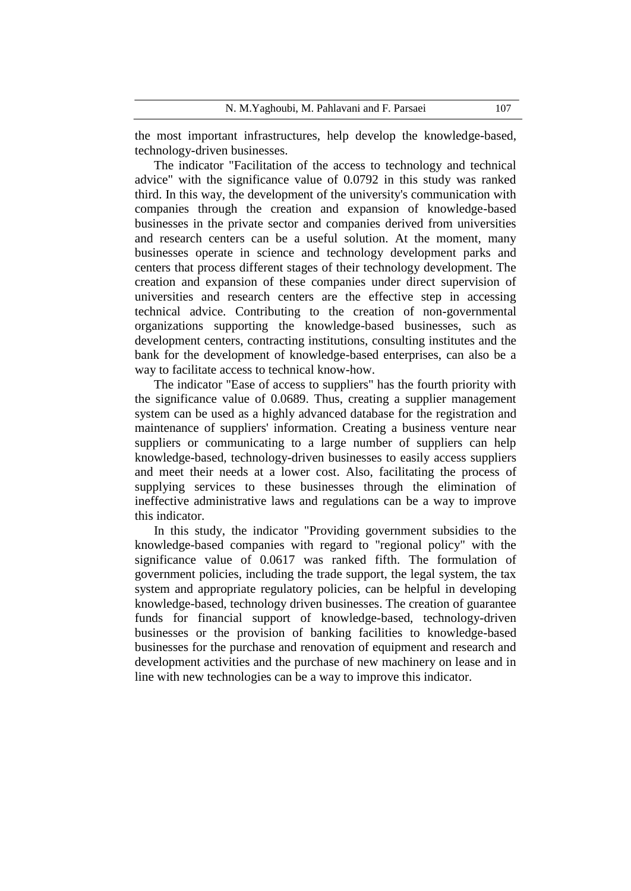the most important infrastructures, help develop the knowledge-based, technology-driven businesses.

The indicator "Facilitation of the access to technology and technical advice" with the significance value of 0.0792 in this study was ranked third. In this way, the development of the university's communication with companies through the creation and expansion of knowledge-based businesses in the private sector and companies derived from universities and research centers can be a useful solution. At the moment, many businesses operate in science and technology development parks and centers that process different stages of their technology development. The creation and expansion of these companies under direct supervision of universities and research centers are the effective step in accessing technical advice. Contributing to the creation of non-governmental organizations supporting the knowledge-based businesses, such as development centers, contracting institutions, consulting institutes and the bank for the development of knowledge-based enterprises, can also be a way to facilitate access to technical know-how.

The indicator "Ease of access to suppliers" has the fourth priority with the significance value of 0.0689. Thus, creating a supplier management system can be used as a highly advanced database for the registration and maintenance of suppliers' information. Creating a business venture near suppliers or communicating to a large number of suppliers can help knowledge-based, technology-driven businesses to easily access suppliers and meet their needs at a lower cost. Also, facilitating the process of supplying services to these businesses through the elimination of ineffective administrative laws and regulations can be a way to improve this indicator.

In this study, the indicator "Providing government subsidies to the knowledge-based companies with regard to "regional policy" with the significance value of 0.0617 was ranked fifth. The formulation of government policies, including the trade support, the legal system, the tax system and appropriate regulatory policies, can be helpful in developing knowledge-based, technology driven businesses. The creation of guarantee funds for financial support of knowledge-based, technology-driven businesses or the provision of banking facilities to knowledge-based businesses for the purchase and renovation of equipment and research and development activities and the purchase of new machinery on lease and in line with new technologies can be a way to improve this indicator.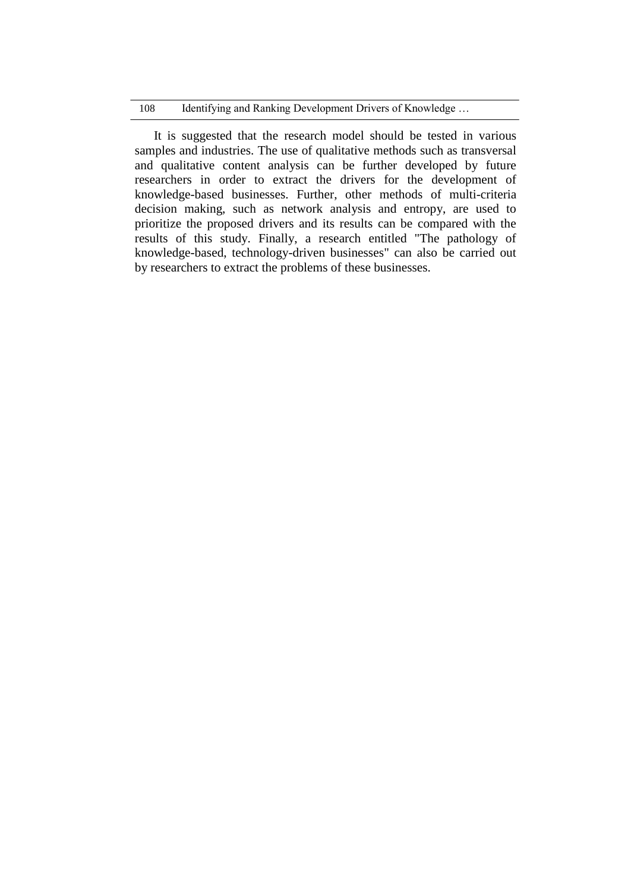### 108 Identifying and Ranking Development Drivers of Knowledge ...

It is suggested that the research model should be tested in various samples and industries. The use of qualitative methods such as transversal and qualitative content analysis can be further developed by future researchers in order to extract the drivers for the development of knowledge-based businesses. Further, other methods of multi-criteria decision making, such as network analysis and entropy, are used to prioritize the proposed drivers and its results can be compared with the results of this study. Finally, a research entitled "The pathology of knowledge-based, technology-driven businesses" can also be carried out by researchers to extract the problems of these businesses.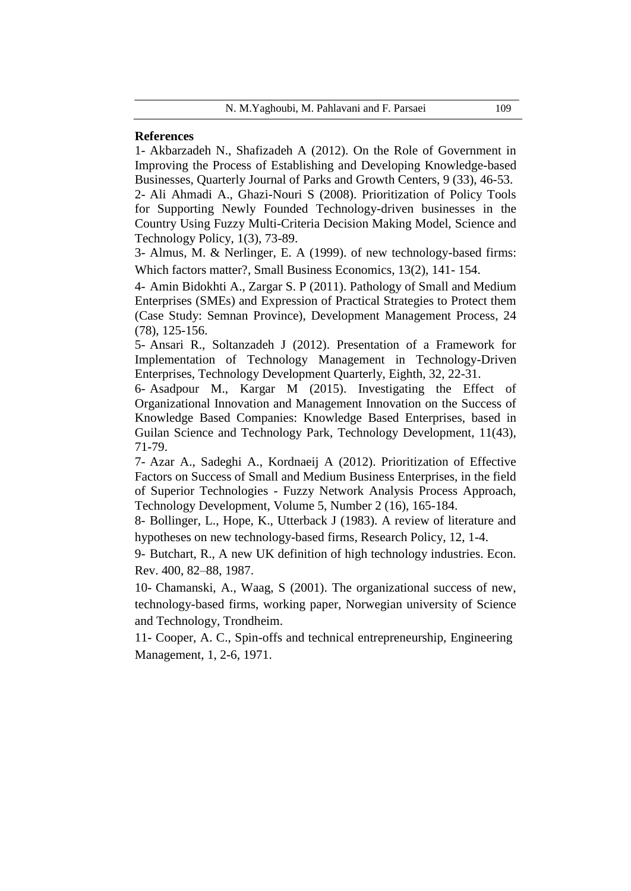## **References**

1- Akbarzadeh N., Shafizadeh A (2012). On the Role of Government in Improving the Process of Establishing and Developing Knowledge-based Businesses, Quarterly Journal of Parks and Growth Centers, 9 (33), 46-53.

2- Ali Ahmadi A., Ghazi-Nouri S (2008). Prioritization of Policy Tools for Supporting Newly Founded Technology-driven businesses in the Country Using Fuzzy Multi-Criteria Decision Making Model, Science and Technology Policy, 1(3), 73-89.

3- Almus, M. & Nerlinger, E. A (1999). of new technology-based firms: Which factors matter?, Small Business Economics, 13(2), 141- 154.

4- Amin Bidokhti A., Zargar S. P (2011). Pathology of Small and Medium Enterprises (SMEs) and Expression of Practical Strategies to Protect them (Case Study: Semnan Province), Development Management Process, 24 (78), 125-156.

5- Ansari R., Soltanzadeh J (2012). Presentation of a Framework for Implementation of Technology Management in Technology-Driven Enterprises, Technology Development Quarterly, Eighth, 32, 22-31.

6- Asadpour M., Kargar M (2015). Investigating the Effect of Organizational Innovation and Management Innovation on the Success of Knowledge Based Companies: Knowledge Based Enterprises, based in Guilan Science and Technology Park, Technology Development, 11(43), 71-79.

7- Azar A., Sadeghi A., Kordnaeij A (2012). Prioritization of Effective Factors on Success of Small and Medium Business Enterprises, in the field of Superior Technologies - Fuzzy Network Analysis Process Approach, Technology Development, Volume 5, Number 2 (16), 165-184.

8- Bollinger, L., Hope, K., Utterback J (1983). A review of literature and hypotheses on new technology-based firms, Research Policy, 12, 1-4.

9- Butchart, R., A new UK definition of high technology industries. Econ. Rev. 400, 82–88, 1987.

10- Chamanski, A., Waag, S (2001). The organizational success of new, technology-based firms, working paper, Norwegian university of Science and Technology, Trondheim.

11- Cooper, A. C., Spin-offs and technical entrepreneurship, Engineering Management, 1, 2-6, 1971.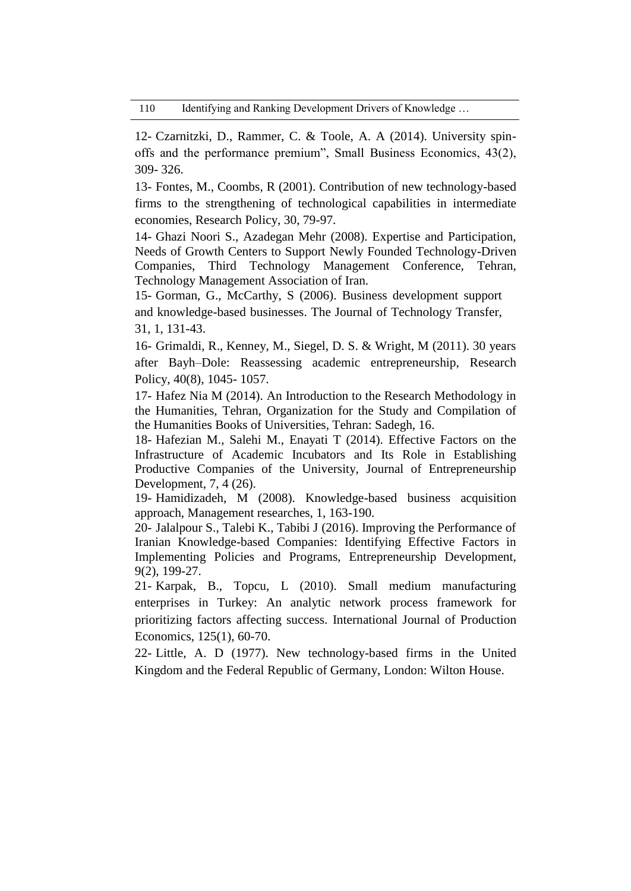12- Czarnitzki, D., Rammer, C. & Toole, A. A (2014). University spinoffs and the performance premium", Small Business Economics, 43(2), 309- 326.

13- Fontes, M., Coombs, R (2001). Contribution of new technology-based firms to the strengthening of technological capabilities in intermediate economies, Research Policy, 30, 79-97.

14- Ghazi Noori S., Azadegan Mehr (2008). Expertise and Participation, Needs of Growth Centers to Support Newly Founded Technology-Driven Companies, Third Technology Management Conference, Tehran, Technology Management Association of Iran.

15- Gorman, G., McCarthy, S (2006). Business development support and knowledge-based businesses. The Journal of Technology Transfer, 31, 1, 131-43.

16- Grimaldi, R., Kenney, M., Siegel, D. S. & Wright, M (2011). 30 years after Bayh–Dole: Reassessing academic entrepreneurship, Research Policy, 40(8), 1045- 1057.

17- Hafez Nia M (2014). An Introduction to the Research Methodology in the Humanities, Tehran, Organization for the Study and Compilation of the Humanities Books of Universities, Tehran: Sadegh, 16.

18- Hafezian M., Salehi M., Enayati T (2014). Effective Factors on the Infrastructure of Academic Incubators and Its Role in Establishing Productive Companies of the University, Journal of Entrepreneurship Development, 7, 4 (26).

19- Hamidizadeh, M (2008). Knowledge-based business acquisition approach, Management researches, 1, 163-190.

20- Jalalpour S., Talebi K., Tabibi J (2016). Improving the Performance of Iranian Knowledge-based Companies: Identifying Effective Factors in Implementing Policies and Programs, Entrepreneurship Development, 9(2), 199-27.

21- Karpak, B., Topcu, L (2010). Small medium manufacturing enterprises in Turkey: An analytic network process framework for prioritizing factors affecting success. International Journal of Production Economics, 125(1), 60-70.

22- Little, A. D (1977). New technology-based firms in the United Kingdom and the Federal Republic of Germany, London: Wilton House.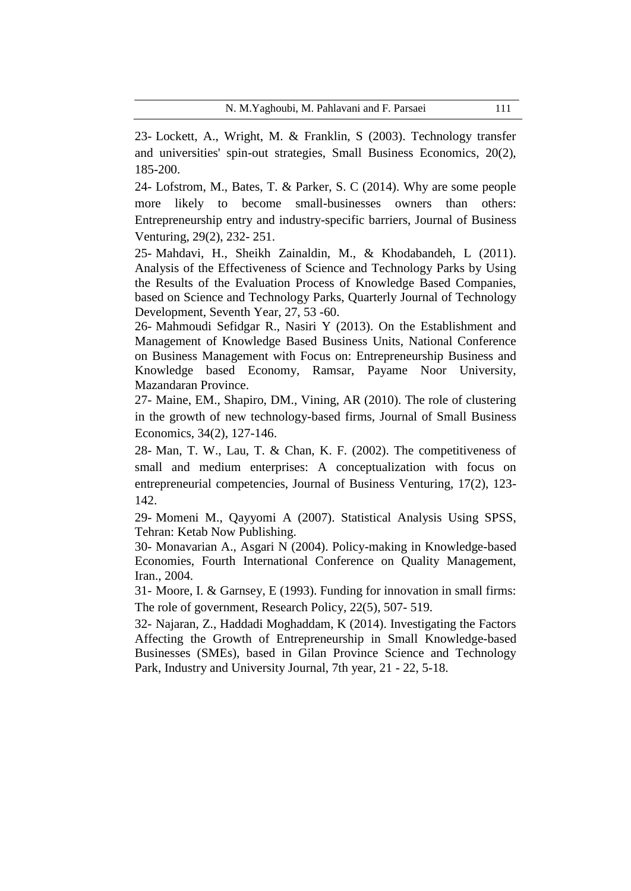23- Lockett, A., Wright, M. & Franklin, S (2003). Technology transfer and universities' spin-out strategies, Small Business Economics, 20(2), 185-200.

24- Lofstrom, M., Bates, T. & Parker, S. C (2014). Why are some people more likely to become small-businesses owners than others: Entrepreneurship entry and industry-specific barriers, Journal of Business Venturing, 29(2), 232- 251.

25- Mahdavi, H., Sheikh Zainaldin, M., & Khodabandeh, L (2011). Analysis of the Effectiveness of Science and Technology Parks by Using the Results of the Evaluation Process of Knowledge Based Companies, based on Science and Technology Parks, Quarterly Journal of Technology Development, Seventh Year, 27, 53 -60.

26- Mahmoudi Sefidgar R., Nasiri Y (2013). On the Establishment and Management of Knowledge Based Business Units, National Conference on Business Management with Focus on: Entrepreneurship Business and Knowledge based Economy, Ramsar, Payame Noor University, Mazandaran Province.

27- Maine, EM., Shapiro, DM., Vining, AR (2010). The role of clustering in the growth of new technology-based firms, Journal of Small Business Economics, 34(2), 127-146.

28- Man, T. W., Lau, T. & Chan, K. F. (2002). The competitiveness of small and medium enterprises: A conceptualization with focus on entrepreneurial competencies, Journal of Business Venturing, 17(2), 123- 142.

29- Momeni M., Qayyomi A (2007). Statistical Analysis Using SPSS, Tehran: Ketab Now Publishing.

30- Monavarian A., Asgari N (2004). Policy-making in Knowledge-based Economies, Fourth International Conference on Quality Management, Iran., 2004.

31- Moore, I. & Garnsey, E (1993). Funding for innovation in small firms: The role of government, Research Policy, 22(5), 507- 519.

32- Najaran, Z., Haddadi Moghaddam, K (2014). Investigating the Factors Affecting the Growth of Entrepreneurship in Small Knowledge-based Businesses (SMEs), based in Gilan Province Science and Technology Park, Industry and University Journal, 7th year, 21 - 22, 5-18.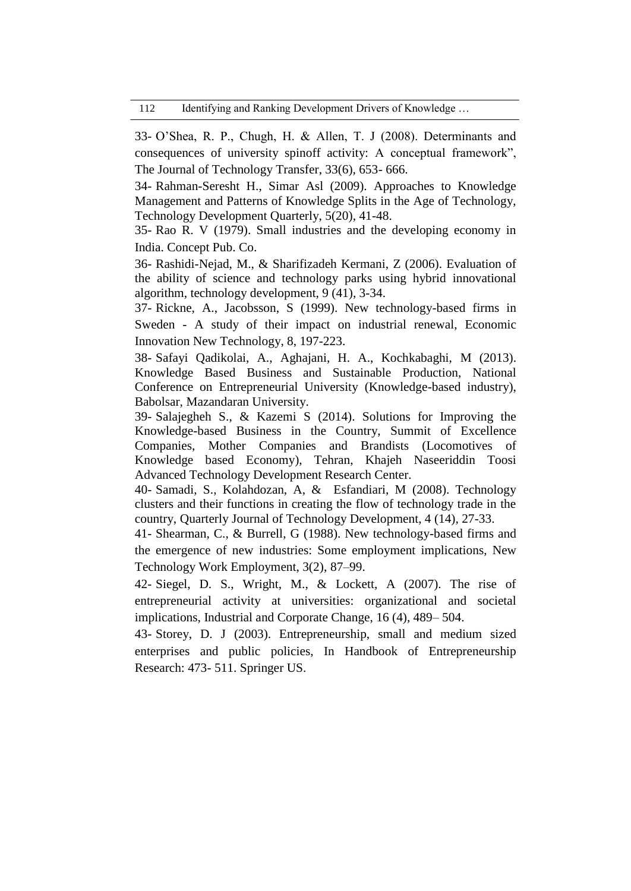33- O'Shea, R. P., Chugh, H. & Allen, T. J (2008). Determinants and consequences of university spinoff activity: A conceptual framework", The Journal of Technology Transfer, 33(6), 653- 666.

34- Rahman-Seresht H., Simar Asl (2009). Approaches to Knowledge Management and Patterns of Knowledge Splits in the Age of Technology, Technology Development Quarterly, 5(20), 41-48.

35- Rao R. V (1979). Small industries and the developing economy in India. Concept Pub. Co.

36- Rashidi-Nejad, M., & Sharifizadeh Kermani, Z (2006). Evaluation of the ability of science and technology parks using hybrid innovational algorithm, technology development, 9 (41), 3-34.

37- Rickne, A., Jacobsson, S (1999). New technology-based firms in Sweden - A study of their impact on industrial renewal, Economic Innovation New Technology, 8, 197-223.

38- Safayi Qadikolai, A., Aghajani, H. A., Kochkabaghi, M (2013). Knowledge Based Business and Sustainable Production, National Conference on Entrepreneurial University (Knowledge-based industry), Babolsar, Mazandaran University.

39- Salajegheh S., & Kazemi S (2014). Solutions for Improving the Knowledge-based Business in the Country, Summit of Excellence Companies, Mother Companies and Brandists (Locomotives of Knowledge based Economy), Tehran, Khajeh Naseeriddin Toosi Advanced Technology Development Research Center.

40- Samadi, S., Kolahdozan, A, & Esfandiari, M (2008). Technology clusters and their functions in creating the flow of technology trade in the country, Quarterly Journal of Technology Development, 4 (14), 27-33.

41- Shearman, C., & Burrell, G (1988). New technology-based firms and the emergence of new industries: Some employment implications, New Technology Work Employment, 3(2), 87–99.

42- Siegel, D. S., Wright, M., & Lockett, A (2007). The rise of entrepreneurial activity at universities: organizational and societal implications, Industrial and Corporate Change, 16 (4), 489– 504.

43- Storey, D. J (2003). Entrepreneurship, small and medium sized enterprises and public policies, In Handbook of Entrepreneurship Research: 473- 511. Springer US.